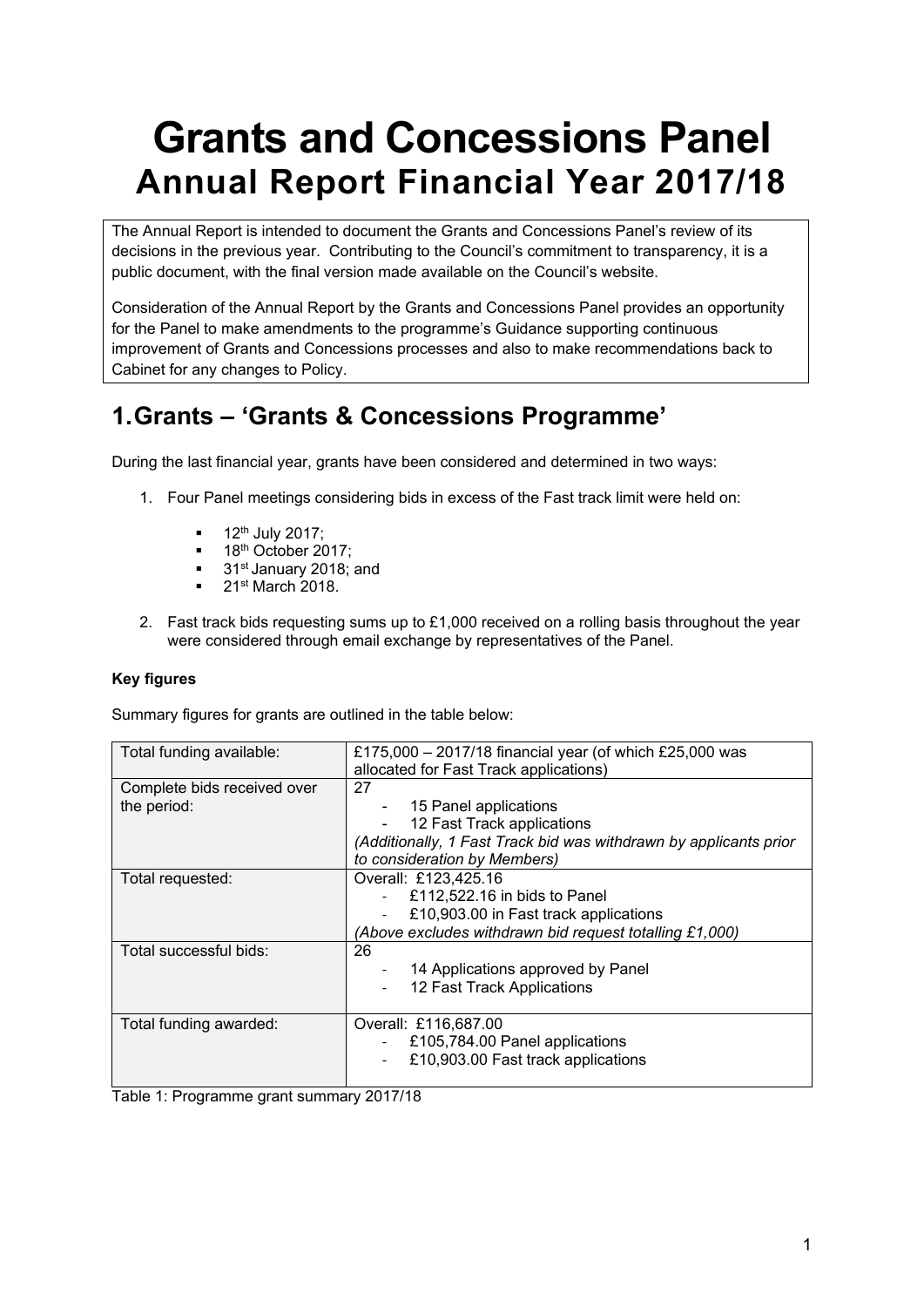# **Grants and Concessions Panel Annual Report Financial Year 2017/18**

The Annual Report is intended to document the Grants and Concessions Panel's review of its decisions in the previous year. Contributing to the Council's commitment to transparency, it is a public document, with the final version made available on the Council's website.

Consideration of the Annual Report by the Grants and Concessions Panel provides an opportunity for the Panel to make amendments to the programme's Guidance supporting continuous improvement of Grants and Concessions processes and also to make recommendations back to Cabinet for any changes to Policy.

# **1.Grants – 'Grants & Concessions Programme'**

During the last financial year, grants have been considered and determined in two ways:

- 1. Four Panel meetings considering bids in excess of the Fast track limit were held on:
	- 12th July 2017;
	- 18<sup>th</sup> October 2017;
	- 31<sup>st</sup> January 2018; and
	- 21<sup>st</sup> March 2018.
- 2. Fast track bids requesting sums up to £1,000 received on a rolling basis throughout the year were considered through email exchange by representatives of the Panel.

#### **Key figures**

Summary figures for grants are outlined in the table below:

| Total funding available:                   | £175,000 - 2017/18 financial year (of which £25,000 was<br>allocated for Fast Track applications)                                                              |
|--------------------------------------------|----------------------------------------------------------------------------------------------------------------------------------------------------------------|
| Complete bids received over<br>the period: | 27<br>15 Panel applications<br>12 Fast Track applications<br>(Additionally, 1 Fast Track bid was withdrawn by applicants prior<br>to consideration by Members) |
| Total requested:                           | Overall: £123,425.16<br>£112,522.16 in bids to Panel<br>£10,903.00 in Fast track applications<br>(Above excludes withdrawn bid request totalling £1,000)       |
| Total successful bids:                     | 26<br>14 Applications approved by Panel<br>12 Fast Track Applications                                                                                          |
| Total funding awarded:                     | Overall: £116,687.00<br>£105,784.00 Panel applications<br>£10,903.00 Fast track applications                                                                   |

Table 1: Programme grant summary 2017/18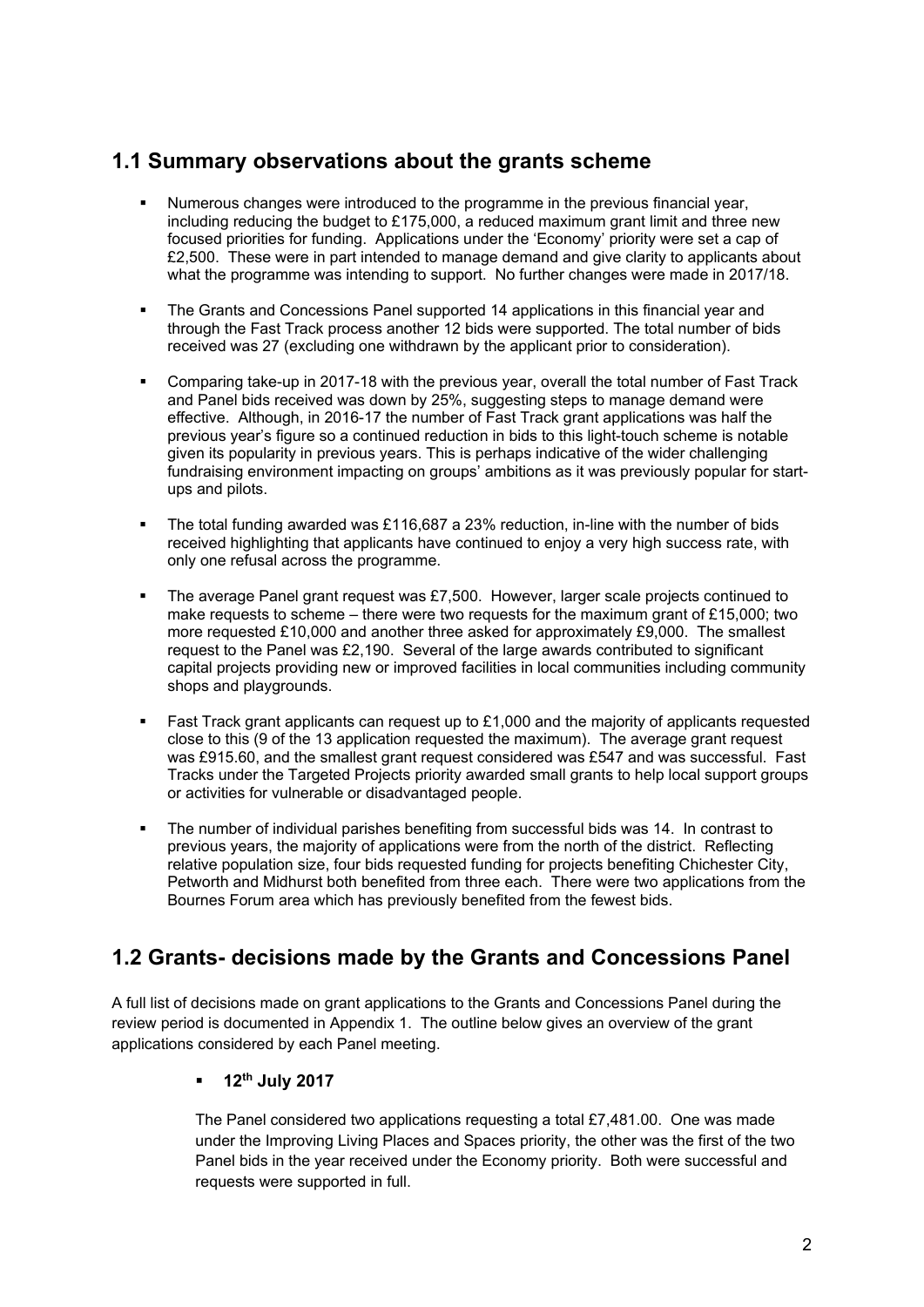### **1.1 Summary observations about the grants scheme**

- Numerous changes were introduced to the programme in the previous financial year, including reducing the budget to £175,000, a reduced maximum grant limit and three new focused priorities for funding. Applications under the 'Economy' priority were set a cap of £2,500. These were in part intended to manage demand and give clarity to applicants about what the programme was intending to support. No further changes were made in 2017/18.
- The Grants and Concessions Panel supported 14 applications in this financial year and through the Fast Track process another 12 bids were supported. The total number of bids received was 27 (excluding one withdrawn by the applicant prior to consideration).
- Comparing take-up in 2017-18 with the previous year, overall the total number of Fast Track and Panel bids received was down by 25%, suggesting steps to manage demand were effective. Although, in 2016-17 the number of Fast Track grant applications was half the previous year's figure so a continued reduction in bids to this light-touch scheme is notable given its popularity in previous years. This is perhaps indicative of the wider challenging fundraising environment impacting on groups' ambitions as it was previously popular for startups and pilots.
- The total funding awarded was £116,687 a 23% reduction, in-line with the number of bids received highlighting that applicants have continued to enjoy a very high success rate, with only one refusal across the programme.
- The average Panel grant request was £7,500. However, larger scale projects continued to make requests to scheme – there were two requests for the maximum grant of £15,000; two more requested £10,000 and another three asked for approximately £9,000. The smallest request to the Panel was £2,190. Several of the large awards contributed to significant capital projects providing new or improved facilities in local communities including community shops and playgrounds.
- Fast Track grant applicants can request up to £1,000 and the majority of applicants requested close to this (9 of the 13 application requested the maximum). The average grant request was £915.60, and the smallest grant request considered was £547 and was successful. Fast Tracks under the Targeted Projects priority awarded small grants to help local support groups or activities for vulnerable or disadvantaged people.
- The number of individual parishes benefiting from successful bids was 14. In contrast to previous years, the majority of applications were from the north of the district. Reflecting relative population size, four bids requested funding for projects benefiting Chichester City, Petworth and Midhurst both benefited from three each. There were two applications from the Bournes Forum area which has previously benefited from the fewest bids.

### **1.2 Grants- decisions made by the Grants and Concessions Panel**

A full list of decisions made on grant applications to the Grants and Concessions Panel during the review period is documented in Appendix 1. The outline below gives an overview of the grant applications considered by each Panel meeting.

#### **12th July 2017**

The Panel considered two applications requesting a total £7,481.00. One was made under the Improving Living Places and Spaces priority, the other was the first of the two Panel bids in the year received under the Economy priority. Both were successful and requests were supported in full.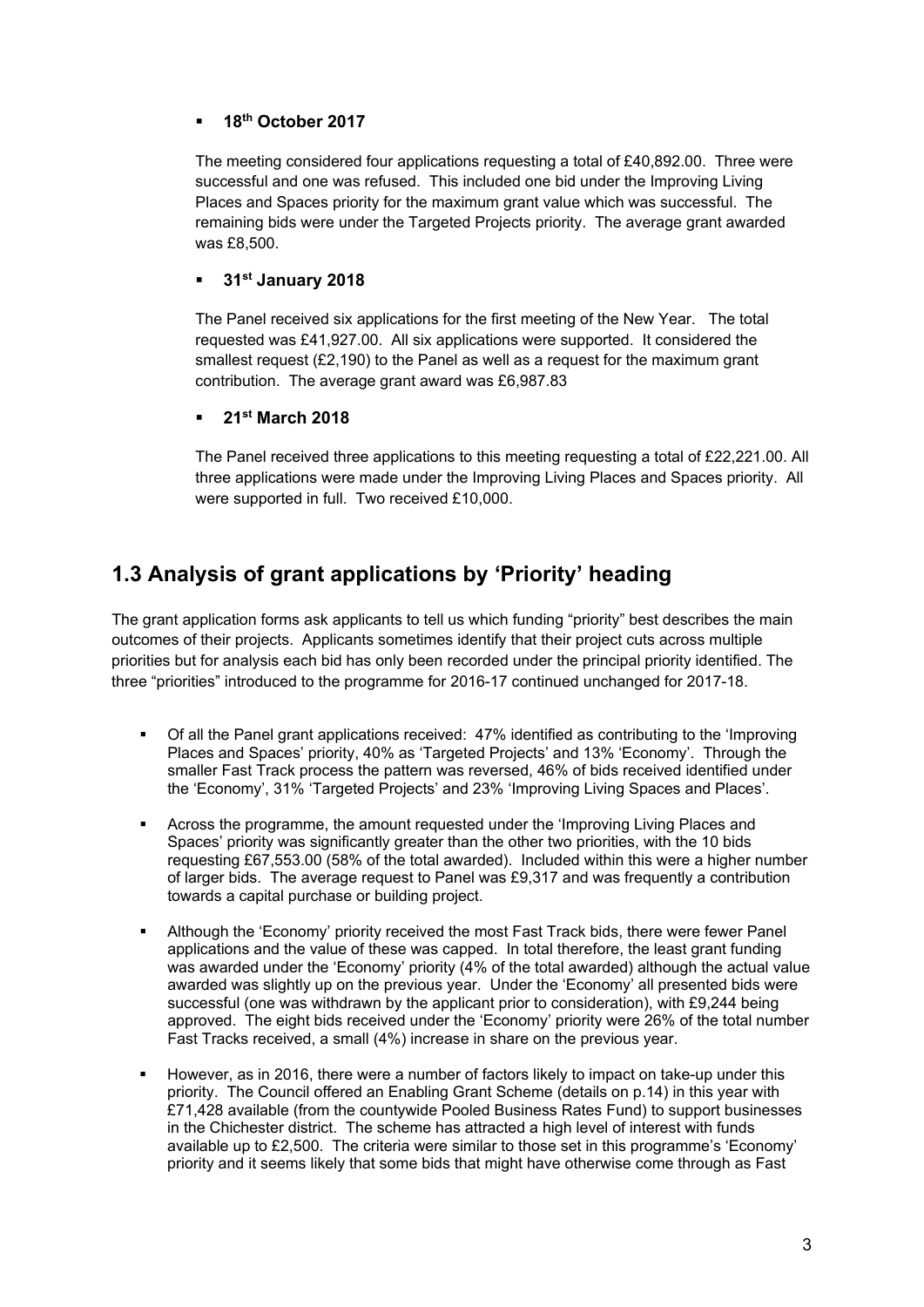#### **18th October 2017**

The meeting considered four applications requesting a total of £40,892.00. Three were successful and one was refused. This included one bid under the Improving Living Places and Spaces priority for the maximum grant value which was successful. The remaining bids were under the Targeted Projects priority. The average grant awarded was £8,500.

#### **31st January 2018**

The Panel received six applications for the first meeting of the New Year. The total requested was £41,927.00. All six applications were supported. It considered the smallest request  $(E2.190)$  to the Panel as well as a request for the maximum grant contribution. The average grant award was £6,987.83

#### **21st March 2018**

The Panel received three applications to this meeting requesting a total of £22,221.00. All three applications were made under the Improving Living Places and Spaces priority. All were supported in full. Two received £10,000.

### **1.3 Analysis of grant applications by 'Priority' heading**

The grant application forms ask applicants to tell us which funding "priority" best describes the main outcomes of their projects. Applicants sometimes identify that their project cuts across multiple priorities but for analysis each bid has only been recorded under the principal priority identified. The three "priorities" introduced to the programme for 2016-17 continued unchanged for 2017-18.

- Of all the Panel grant applications received: 47% identified as contributing to the 'Improving Places and Spaces' priority, 40% as 'Targeted Projects' and 13% 'Economy'. Through the smaller Fast Track process the pattern was reversed, 46% of bids received identified under the 'Economy', 31% 'Targeted Projects' and 23% 'Improving Living Spaces and Places'.
- Across the programme, the amount requested under the 'Improving Living Places and Spaces' priority was significantly greater than the other two priorities, with the 10 bids requesting £67,553.00 (58% of the total awarded). Included within this were a higher number of larger bids. The average request to Panel was £9,317 and was frequently a contribution towards a capital purchase or building project.
- Although the 'Economy' priority received the most Fast Track bids, there were fewer Panel applications and the value of these was capped. In total therefore, the least grant funding was awarded under the 'Economy' priority (4% of the total awarded) although the actual value awarded was slightly up on the previous year. Under the 'Economy' all presented bids were successful (one was withdrawn by the applicant prior to consideration), with £9,244 being approved. The eight bids received under the 'Economy' priority were 26% of the total number Fast Tracks received, a small (4%) increase in share on the previous year.
- However, as in 2016, there were a number of factors likely to impact on take-up under this priority. The Council offered an Enabling Grant Scheme (details on p.14) in this year with £71,428 available (from the countywide Pooled Business Rates Fund) to support businesses in the Chichester district. The scheme has attracted a high level of interest with funds available up to £2,500. The criteria were similar to those set in this programme's 'Economy' priority and it seems likely that some bids that might have otherwise come through as Fast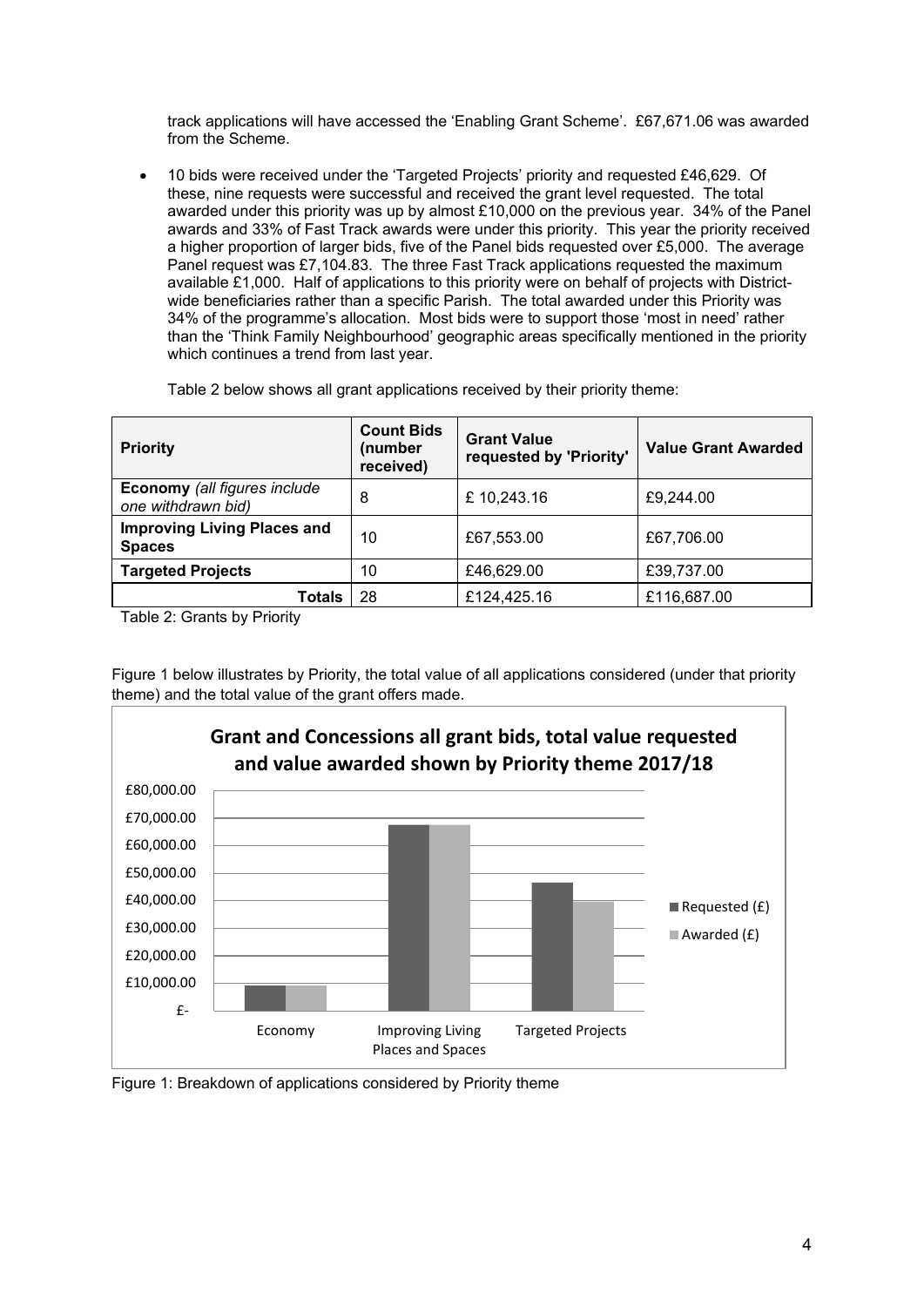track applications will have accessed the 'Enabling Grant Scheme'. £67,671.06 was awarded from the Scheme.

• 10 bids were received under the 'Targeted Projects' priority and requested £46,629. Of these, nine requests were successful and received the grant level requested. The total awarded under this priority was up by almost £10,000 on the previous year. 34% of the Panel awards and 33% of Fast Track awards were under this priority. This year the priority received a higher proportion of larger bids, five of the Panel bids requested over £5,000. The average Panel request was £7,104.83. The three Fast Track applications requested the maximum available £1,000. Half of applications to this priority were on behalf of projects with Districtwide beneficiaries rather than a specific Parish. The total awarded under this Priority was 34% of the programme's allocation. Most bids were to support those 'most in need' rather than the 'Think Family Neighbourhood' geographic areas specifically mentioned in the priority which continues a trend from last year.

| <b>Priority</b>                                     | <b>Count Bids</b><br>(number<br>received) | <b>Grant Value</b><br>requested by 'Priority' | <b>Value Grant Awarded</b> |
|-----------------------------------------------------|-------------------------------------------|-----------------------------------------------|----------------------------|
| Economy (all figures include<br>one withdrawn bid)  | 8                                         | £10,243.16                                    | £9,244.00                  |
| <b>Improving Living Places and</b><br><b>Spaces</b> | 10                                        | £67,553.00                                    | £67,706.00                 |
| <b>Targeted Projects</b>                            | 10                                        | £46,629.00                                    | £39,737.00                 |
| <b>Totals</b>                                       | 28                                        | £124,425.16                                   | £116,687.00                |

Table 2 below shows all grant applications received by their priority theme:

Table 2: Grants by Priority

Figure 1 below illustrates by Priority, the total value of all applications considered (under that priority theme) and the total value of the grant offers made.



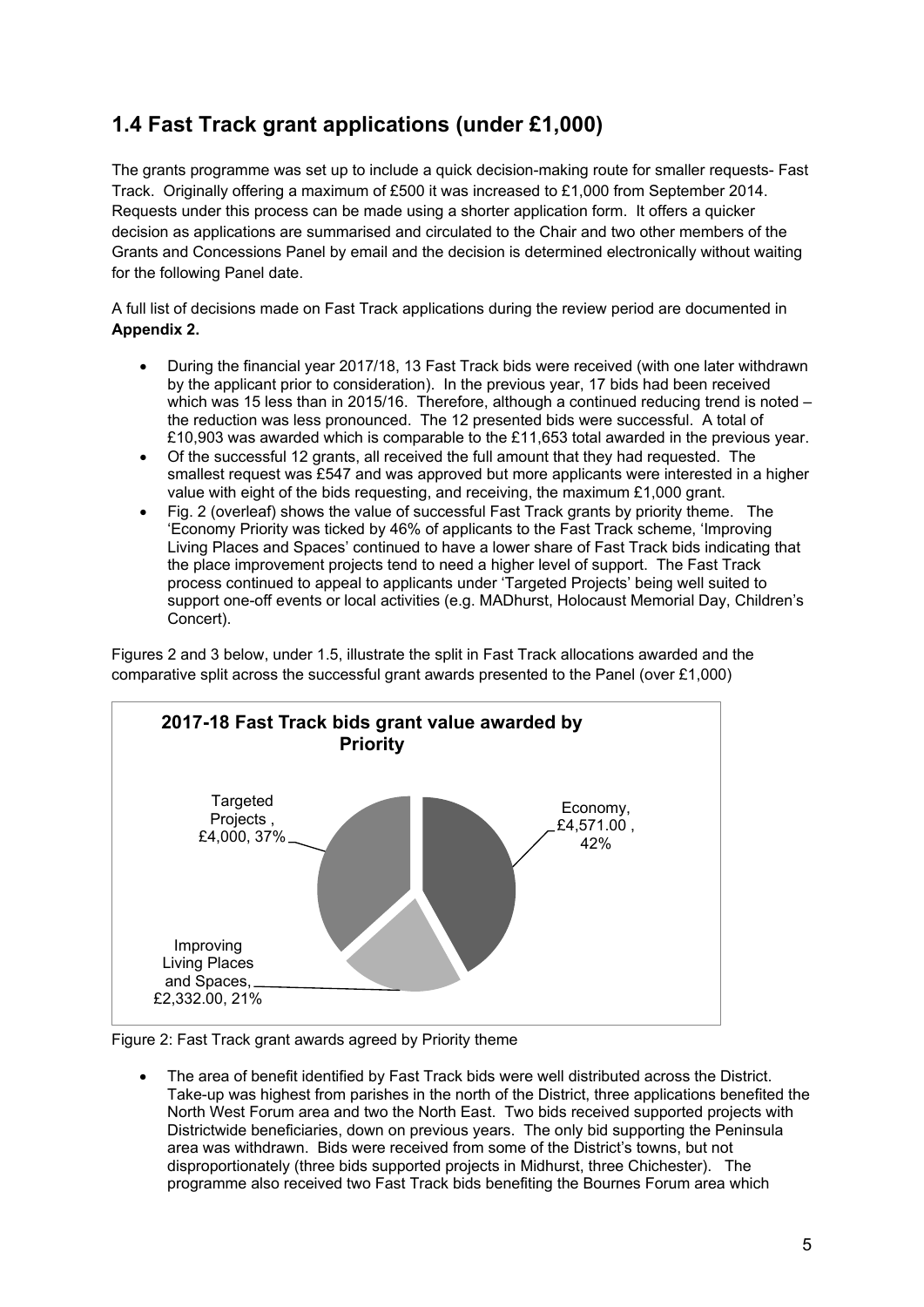### **1.4 Fast Track grant applications (under £1,000)**

The grants programme was set up to include a quick decision-making route for smaller requests- Fast Track. Originally offering a maximum of £500 it was increased to £1,000 from September 2014. Requests under this process can be made using a shorter application form. It offers a quicker decision as applications are summarised and circulated to the Chair and two other members of the Grants and Concessions Panel by email and the decision is determined electronically without waiting for the following Panel date.

A full list of decisions made on Fast Track applications during the review period are documented in **Appendix 2.** 

- During the financial year 2017/18, 13 Fast Track bids were received (with one later withdrawn by the applicant prior to consideration). In the previous year, 17 bids had been received which was 15 less than in 2015/16. Therefore, although a continued reducing trend is noted – the reduction was less pronounced. The 12 presented bids were successful. A total of £10,903 was awarded which is comparable to the £11,653 total awarded in the previous year.
- Of the successful 12 grants, all received the full amount that they had requested. The smallest request was £547 and was approved but more applicants were interested in a higher value with eight of the bids requesting, and receiving, the maximum £1,000 grant.
- Fig. 2 (overleaf) shows the value of successful Fast Track grants by priority theme. The 'Economy Priority was ticked by 46% of applicants to the Fast Track scheme, 'Improving Living Places and Spaces' continued to have a lower share of Fast Track bids indicating that the place improvement projects tend to need a higher level of support. The Fast Track process continued to appeal to applicants under 'Targeted Projects' being well suited to support one-off events or local activities (e.g. MADhurst, Holocaust Memorial Day, Children's Concert).

Figures 2 and 3 below, under 1.5, illustrate the split in Fast Track allocations awarded and the comparative split across the successful grant awards presented to the Panel (over £1,000)



Figure 2: Fast Track grant awards agreed by Priority theme

• The area of benefit identified by Fast Track bids were well distributed across the District. Take-up was highest from parishes in the north of the District, three applications benefited the North West Forum area and two the North East. Two bids received supported projects with Districtwide beneficiaries, down on previous years. The only bid supporting the Peninsula area was withdrawn. Bids were received from some of the District's towns, but not disproportionately (three bids supported projects in Midhurst, three Chichester). The programme also received two Fast Track bids benefiting the Bournes Forum area which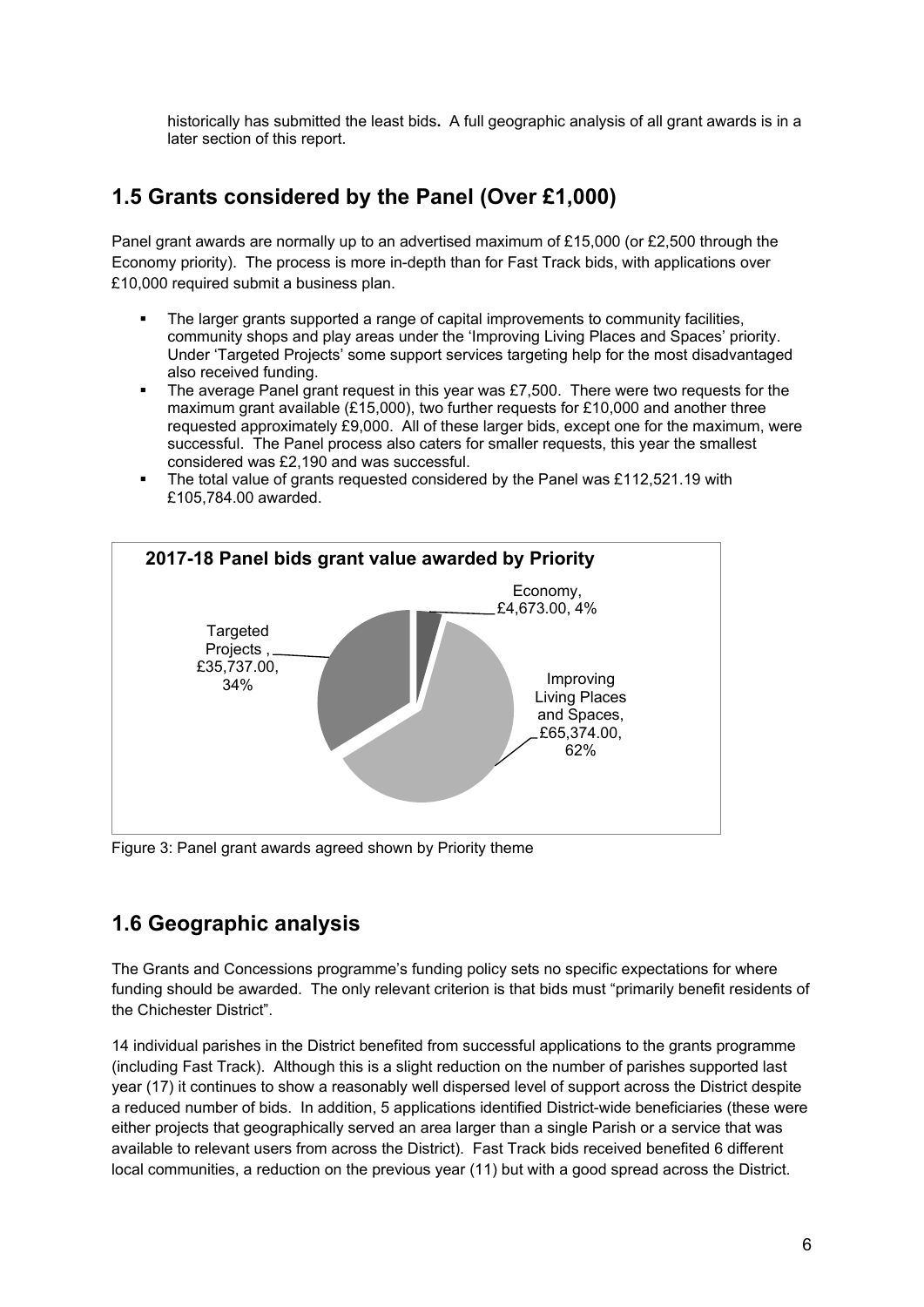historically has submitted the least bids**.** A full geographic analysis of all grant awards is in a later section of this report.

### **1.5 Grants considered by the Panel (Over £1,000)**

Panel grant awards are normally up to an advertised maximum of £15,000 (or £2,500 through the Economy priority). The process is more in-depth than for Fast Track bids, with applications over £10,000 required submit a business plan.

- The larger grants supported a range of capital improvements to community facilities, community shops and play areas under the 'Improving Living Places and Spaces' priority. Under 'Targeted Projects' some support services targeting help for the most disadvantaged also received funding.
- $\blacksquare$  The average Panel grant request in this year was £7,500. There were two requests for the maximum grant available (£15,000), two further requests for £10,000 and another three requested approximately £9,000. All of these larger bids, except one for the maximum, were successful. The Panel process also caters for smaller requests, this year the smallest considered was £2,190 and was successful.
- The total value of grants requested considered by the Panel was £112,521.19 with £105,784.00 awarded.



Figure 3: Panel grant awards agreed shown by Priority theme

### **1.6 Geographic analysis**

The Grants and Concessions programme's funding policy sets no specific expectations for where funding should be awarded. The only relevant criterion is that bids must "primarily benefit residents of the Chichester District".

14 individual parishes in the District benefited from successful applications to the grants programme (including Fast Track). Although this is a slight reduction on the number of parishes supported last year (17) it continues to show a reasonably well dispersed level of support across the District despite a reduced number of bids. In addition, 5 applications identified District-wide beneficiaries (these were either projects that geographically served an area larger than a single Parish or a service that was available to relevant users from across the District). Fast Track bids received benefited 6 different local communities, a reduction on the previous year (11) but with a good spread across the District.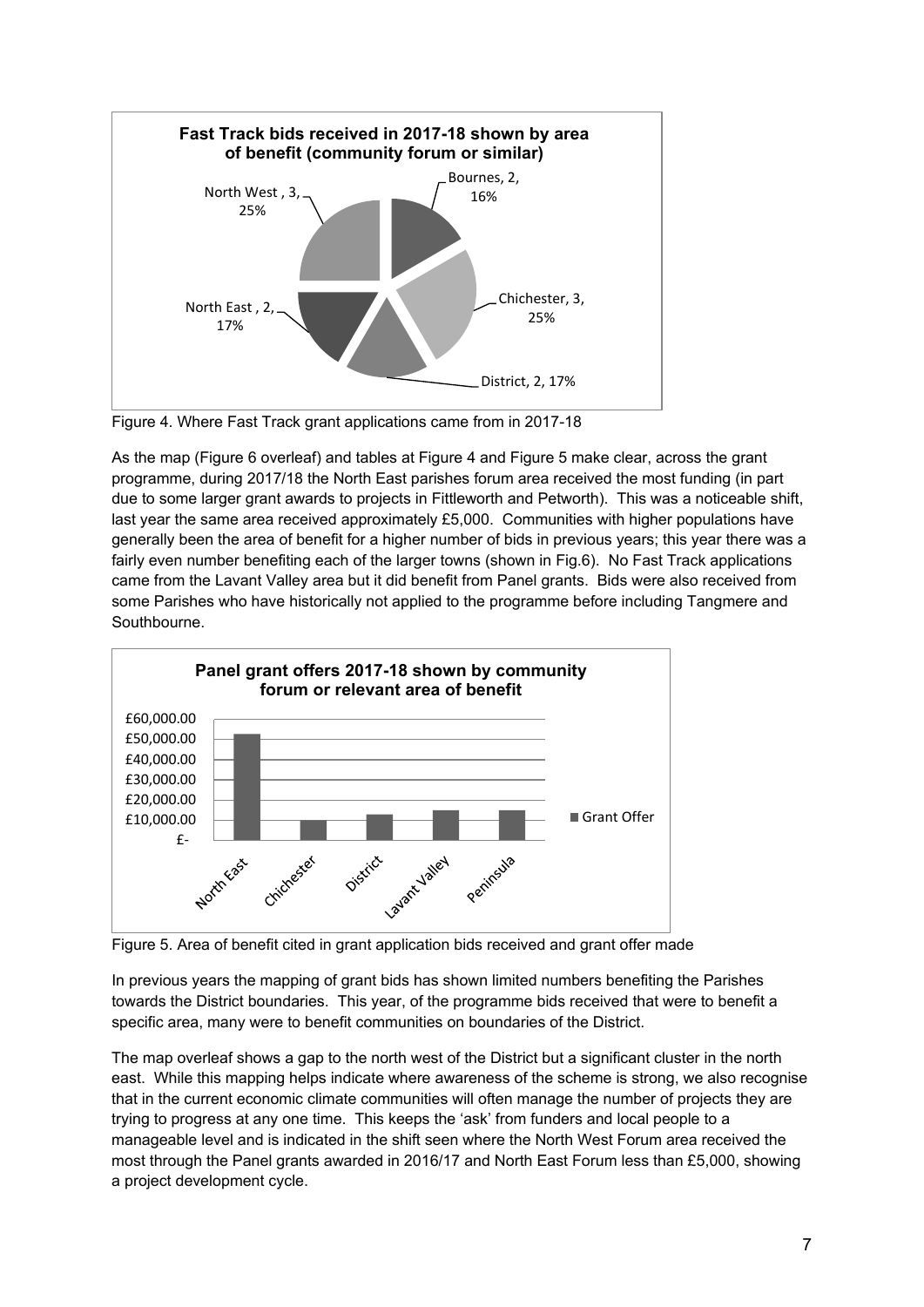

Figure 4. Where Fast Track grant applications came from in 2017-18

As the map (Figure 6 overleaf) and tables at Figure 4 and Figure 5 make clear, across the grant programme, during 2017/18 the North East parishes forum area received the most funding (in part due to some larger grant awards to projects in Fittleworth and Petworth). This was a noticeable shift, last year the same area received approximately £5,000. Communities with higher populations have generally been the area of benefit for a higher number of bids in previous years; this year there was a fairly even number benefiting each of the larger towns (shown in Fig.6). No Fast Track applications came from the Lavant Valley area but it did benefit from Panel grants. Bids were also received from some Parishes who have historically not applied to the programme before including Tangmere and Southbourne.



Figure 5. Area of benefit cited in grant application bids received and grant offer made

In previous years the mapping of grant bids has shown limited numbers benefiting the Parishes towards the District boundaries. This year, of the programme bids received that were to benefit a specific area, many were to benefit communities on boundaries of the District.

The map overleaf shows a gap to the north west of the District but a significant cluster in the north east. While this mapping helps indicate where awareness of the scheme is strong, we also recognise that in the current economic climate communities will often manage the number of projects they are trying to progress at any one time. This keeps the 'ask' from funders and local people to a manageable level and is indicated in the shift seen where the North West Forum area received the most through the Panel grants awarded in 2016/17 and North East Forum less than £5,000, showing a project development cycle.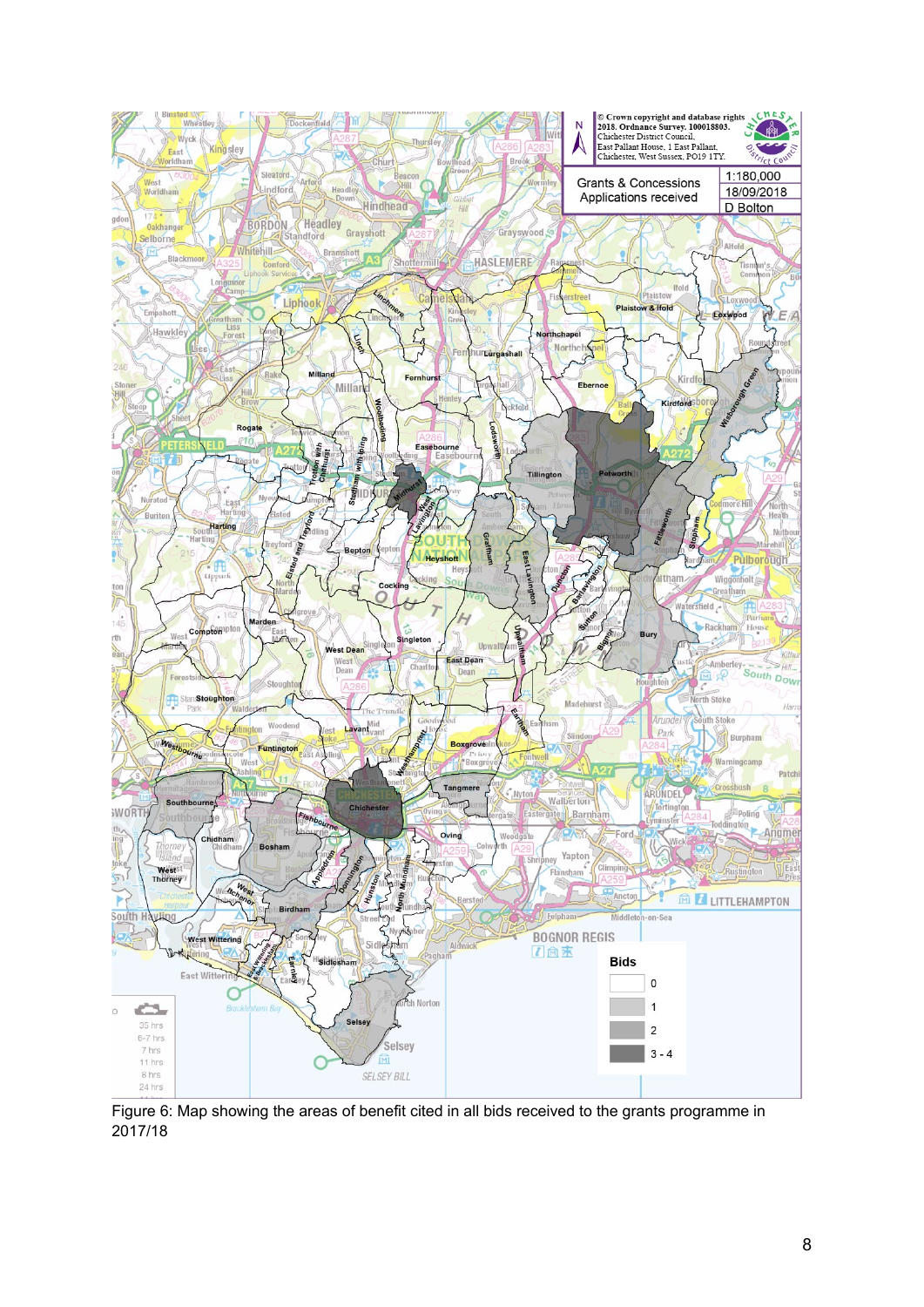

Figure 6: Map showing the areas of benefit cited in all bids received to the grants programme in 2017/18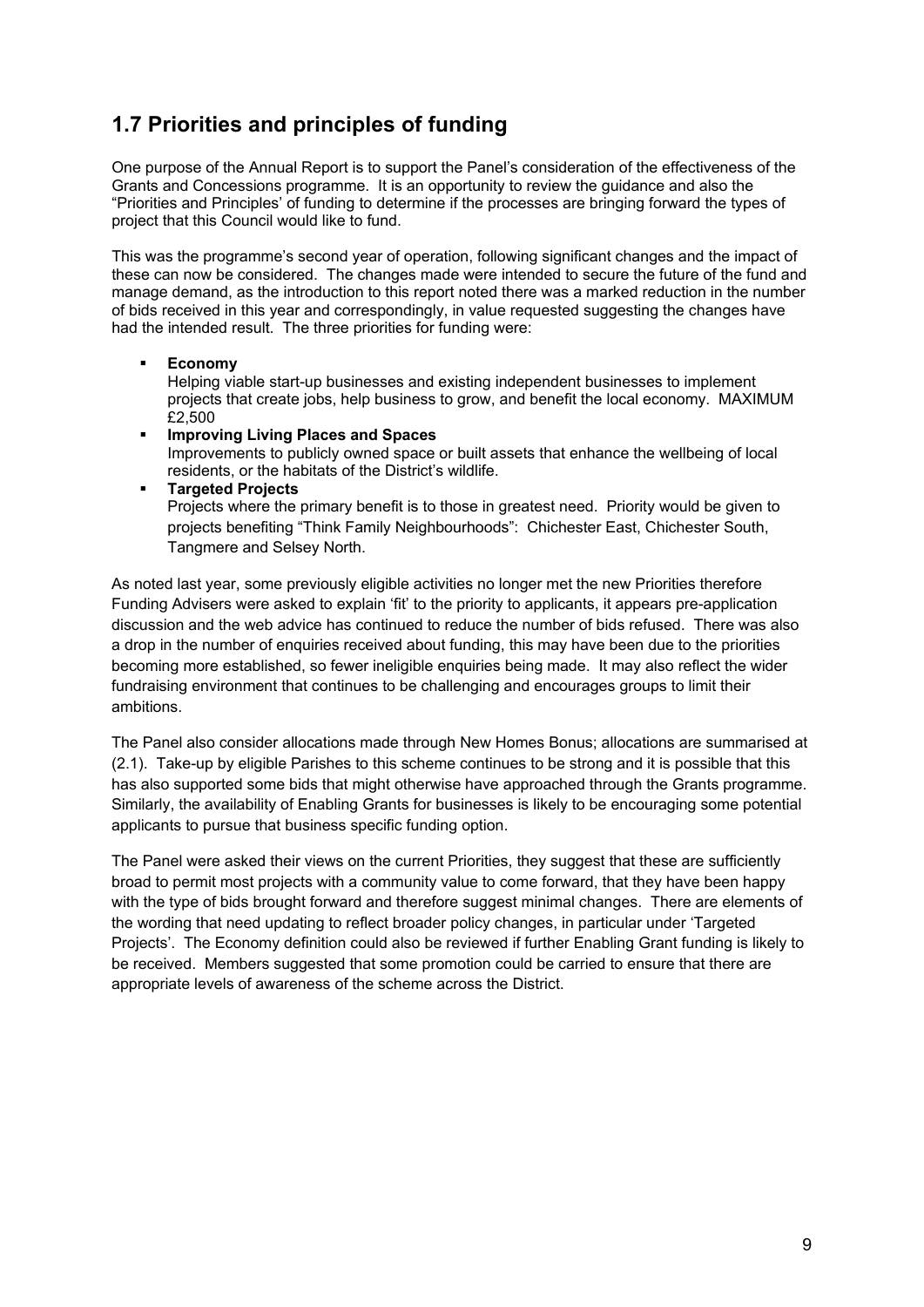### **1.7 Priorities and principles of funding**

One purpose of the Annual Report is to support the Panel's consideration of the effectiveness of the Grants and Concessions programme. It is an opportunity to review the guidance and also the "Priorities and Principles' of funding to determine if the processes are bringing forward the types of project that this Council would like to fund.

This was the programme's second year of operation, following significant changes and the impact of these can now be considered. The changes made were intended to secure the future of the fund and manage demand, as the introduction to this report noted there was a marked reduction in the number of bids received in this year and correspondingly, in value requested suggesting the changes have had the intended result. The three priorities for funding were:

#### **Economy**

Helping viable start-up businesses and existing independent businesses to implement projects that create jobs, help business to grow, and benefit the local economy. MAXIMUM £2,500

- **Improving Living Places and Spaces** Improvements to publicly owned space or built assets that enhance the wellbeing of local residents, or the habitats of the District's wildlife.
- **Targeted Projects** Projects where the primary benefit is to those in greatest need. Priority would be given to projects benefiting "Think Family Neighbourhoods": Chichester East, Chichester South, Tangmere and Selsey North.

As noted last year, some previously eligible activities no longer met the new Priorities therefore Funding Advisers were asked to explain 'fit' to the priority to applicants, it appears pre-application discussion and the web advice has continued to reduce the number of bids refused. There was also a drop in the number of enquiries received about funding, this may have been due to the priorities becoming more established, so fewer ineligible enquiries being made. It may also reflect the wider fundraising environment that continues to be challenging and encourages groups to limit their ambitions.

The Panel also consider allocations made through New Homes Bonus; allocations are summarised at (2.1). Take-up by eligible Parishes to this scheme continues to be strong and it is possible that this has also supported some bids that might otherwise have approached through the Grants programme. Similarly, the availability of Enabling Grants for businesses is likely to be encouraging some potential applicants to pursue that business specific funding option.

The Panel were asked their views on the current Priorities, they suggest that these are sufficiently broad to permit most projects with a community value to come forward, that they have been happy with the type of bids brought forward and therefore suggest minimal changes. There are elements of the wording that need updating to reflect broader policy changes, in particular under 'Targeted Projects'. The Economy definition could also be reviewed if further Enabling Grant funding is likely to be received. Members suggested that some promotion could be carried to ensure that there are appropriate levels of awareness of the scheme across the District.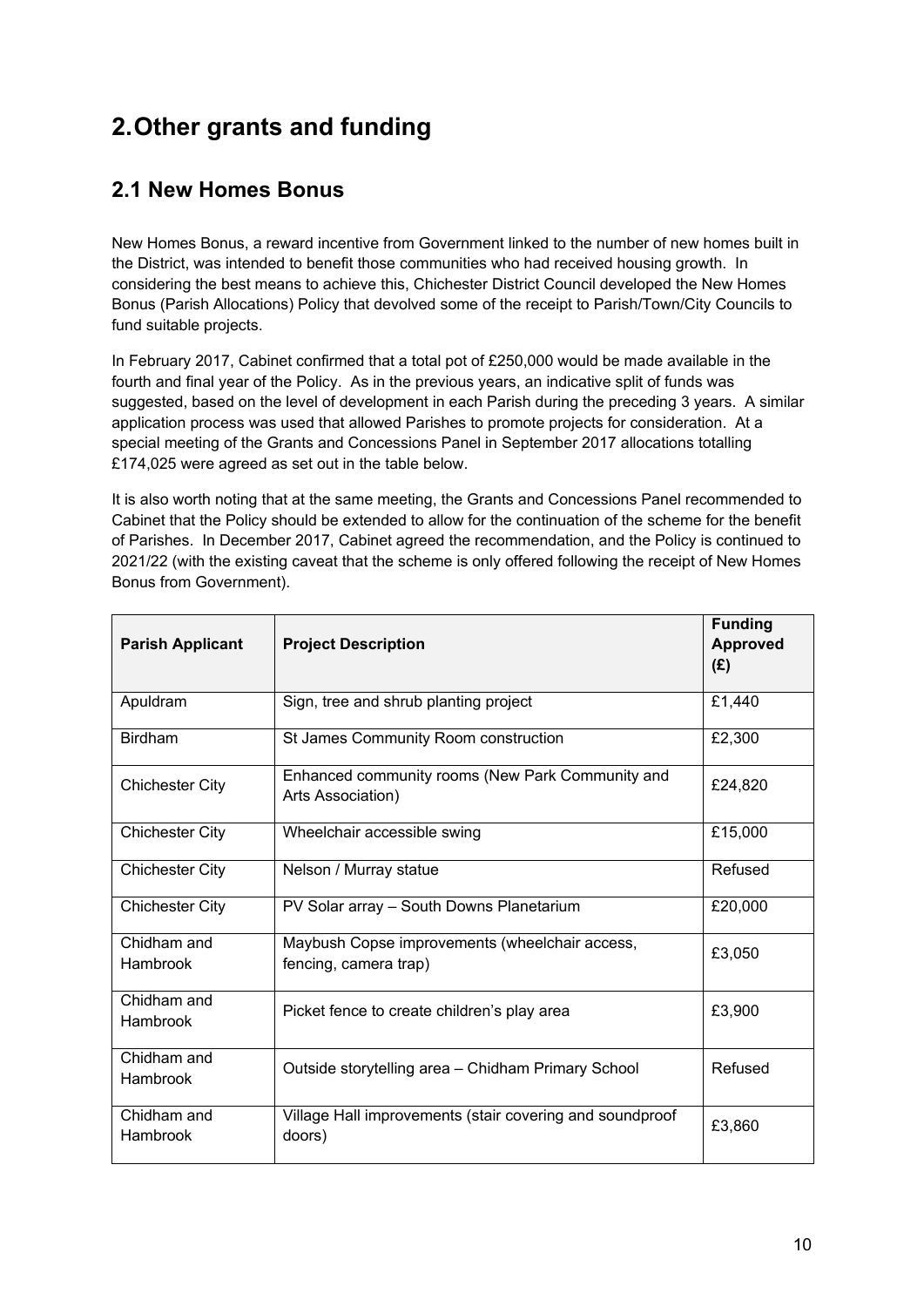# **2.Other grants and funding**

### **2.1 New Homes Bonus**

New Homes Bonus, a reward incentive from Government linked to the number of new homes built in the District, was intended to benefit those communities who had received housing growth. In considering the best means to achieve this, Chichester District Council developed the New Homes Bonus (Parish Allocations) Policy that devolved some of the receipt to Parish/Town/City Councils to fund suitable projects.

In February 2017, Cabinet confirmed that a total pot of £250,000 would be made available in the fourth and final year of the Policy. As in the previous years, an indicative split of funds was suggested, based on the level of development in each Parish during the preceding 3 years. A similar application process was used that allowed Parishes to promote projects for consideration. At a special meeting of the Grants and Concessions Panel in September 2017 allocations totalling £174,025 were agreed as set out in the table below.

It is also worth noting that at the same meeting, the Grants and Concessions Panel recommended to Cabinet that the Policy should be extended to allow for the continuation of the scheme for the benefit of Parishes. In December 2017, Cabinet agreed the recommendation, and the Policy is continued to 2021/22 (with the existing caveat that the scheme is only offered following the receipt of New Homes Bonus from Government).

| <b>Parish Applicant</b>        | <b>Project Description</b>                                              | <b>Funding</b><br><b>Approved</b><br>(E) |
|--------------------------------|-------------------------------------------------------------------------|------------------------------------------|
| Apuldram                       | Sign, tree and shrub planting project                                   | £1,440                                   |
| <b>Birdham</b>                 | St James Community Room construction                                    | £2,300                                   |
| <b>Chichester City</b>         | Enhanced community rooms (New Park Community and<br>Arts Association)   | £24,820                                  |
| <b>Chichester City</b>         | Wheelchair accessible swing                                             | £15,000                                  |
| <b>Chichester City</b>         | Nelson / Murray statue                                                  | Refused                                  |
| <b>Chichester City</b>         | PV Solar array - South Downs Planetarium                                | £20,000                                  |
| Chidham and<br><b>Hambrook</b> | Maybush Copse improvements (wheelchair access,<br>fencing, camera trap) | £3,050                                   |
| Chidham and<br><b>Hambrook</b> | Picket fence to create children's play area                             | £3,900                                   |
| Chidham and<br>Hambrook        | Outside storytelling area - Chidham Primary School                      | Refused                                  |
| Chidham and<br>Hambrook        | Village Hall improvements (stair covering and soundproof<br>doors)      | £3,860                                   |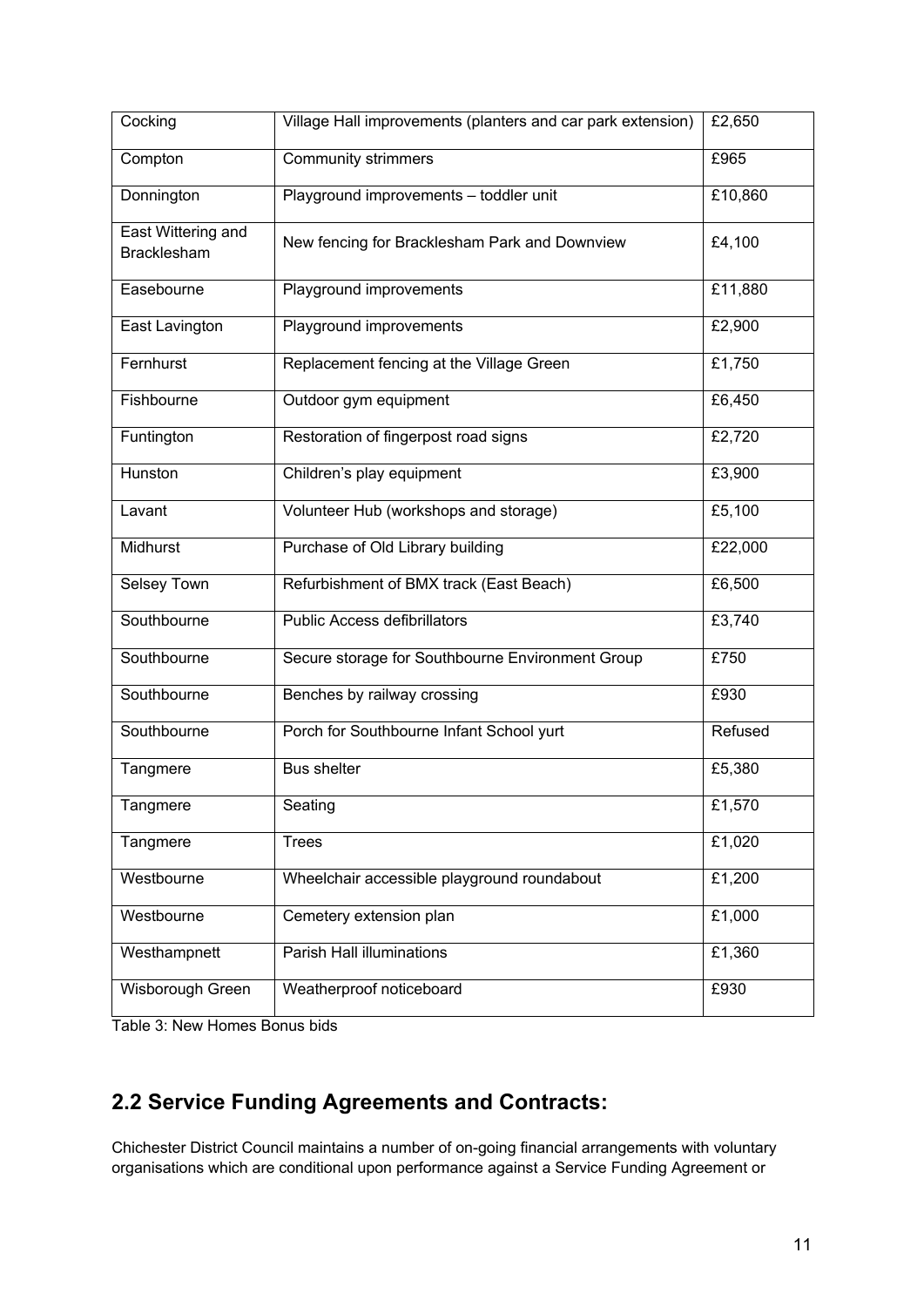| Cocking                                  | Village Hall improvements (planters and car park extension) | £2,650  |
|------------------------------------------|-------------------------------------------------------------|---------|
| Compton                                  | <b>Community strimmers</b>                                  | £965    |
| Donnington                               | Playground improvements - toddler unit                      | £10,860 |
| East Wittering and<br><b>Bracklesham</b> | New fencing for Bracklesham Park and Downview               | £4,100  |
| Easebourne                               | Playground improvements                                     | £11,880 |
| East Lavington                           | Playground improvements                                     | £2,900  |
| Fernhurst                                | Replacement fencing at the Village Green                    | £1,750  |
| Fishbourne                               | Outdoor gym equipment                                       | £6,450  |
| Funtington                               | Restoration of fingerpost road signs                        | £2,720  |
| Hunston                                  | Children's play equipment                                   | £3,900  |
| Lavant                                   | Volunteer Hub (workshops and storage)                       | £5,100  |
| Midhurst                                 | Purchase of Old Library building                            | £22,000 |
| Selsey Town                              | Refurbishment of BMX track (East Beach)                     | £6,500  |
| Southbourne                              | <b>Public Access defibrillators</b>                         | £3,740  |
| Southbourne                              | Secure storage for Southbourne Environment Group            | £750    |
| Southbourne                              | Benches by railway crossing                                 | £930    |
| Southbourne                              | Porch for Southbourne Infant School yurt                    | Refused |
| Tangmere                                 | <b>Bus shelter</b>                                          | £5,380  |
| Tangmere                                 | Seating                                                     | £1,570  |
| Tangmere                                 | <b>Trees</b>                                                | £1,020  |
| Westbourne                               | Wheelchair accessible playground roundabout                 | £1,200  |
| Westbourne                               | Cemetery extension plan                                     | £1,000  |
| Westhampnett                             | Parish Hall illuminations                                   | £1,360  |
| Wisborough Green                         | Weatherproof noticeboard                                    | £930    |

Table 3: New Homes Bonus bids

# **2.2 Service Funding Agreements and Contracts:**

Chichester District Council maintains a number of on-going financial arrangements with voluntary organisations which are conditional upon performance against a Service Funding Agreement or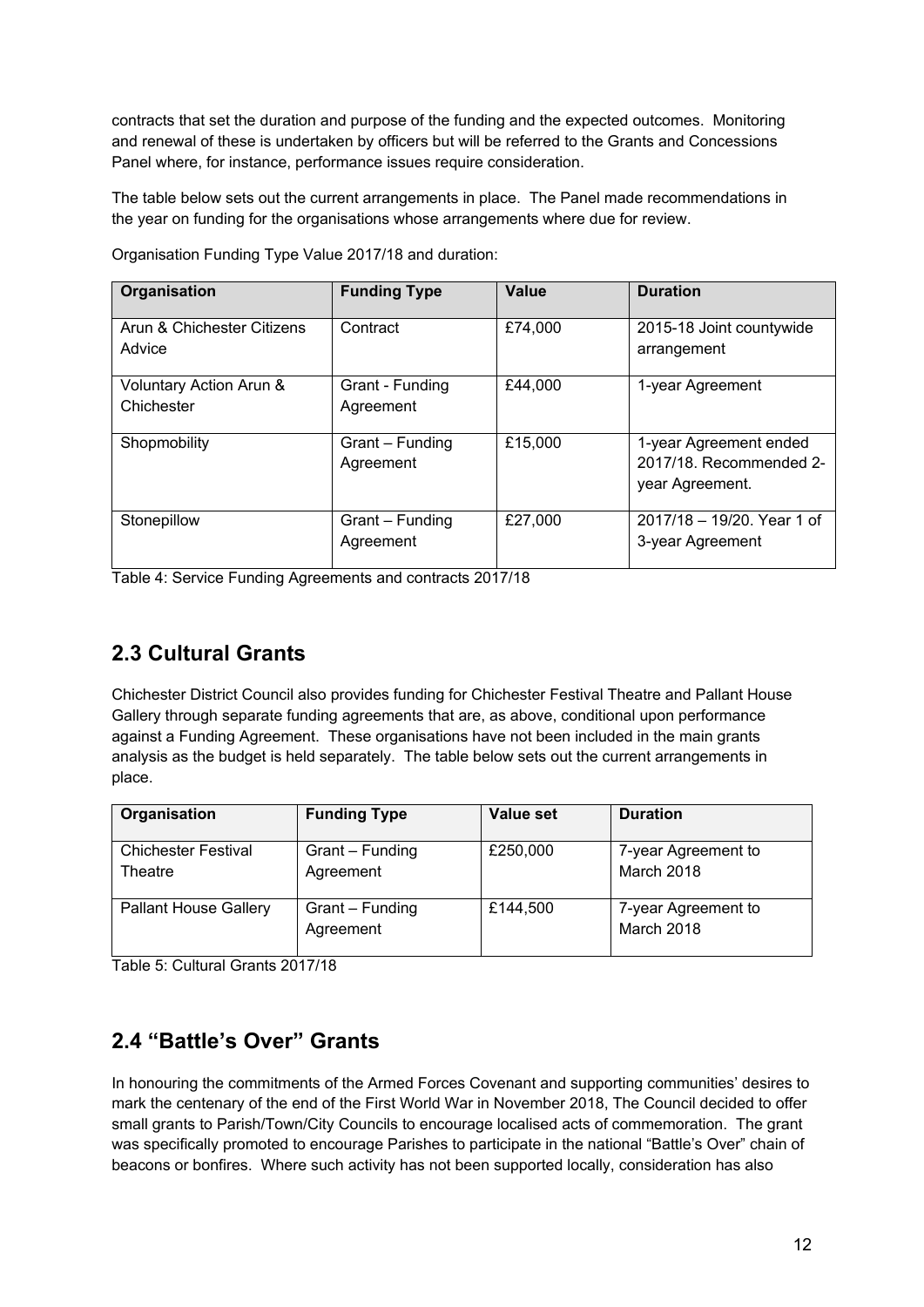contracts that set the duration and purpose of the funding and the expected outcomes. Monitoring and renewal of these is undertaken by officers but will be referred to the Grants and Concessions Panel where, for instance, performance issues require consideration.

The table below sets out the current arrangements in place. The Panel made recommendations in the year on funding for the organisations whose arrangements where due for review.

| Organisation               | <b>Funding Type</b> | Value   | <b>Duration</b>            |
|----------------------------|---------------------|---------|----------------------------|
|                            |                     |         |                            |
| Arun & Chichester Citizens | Contract            | £74,000 | 2015-18 Joint countywide   |
| Advice                     |                     |         | arrangement                |
|                            |                     |         |                            |
|                            |                     |         |                            |
| Voluntary Action Arun &    | Grant - Funding     | £44,000 | 1-year Agreement           |
| Chichester                 | Agreement           |         |                            |
|                            |                     |         |                            |
| Shopmobility               | Grant - Funding     | £15,000 | 1-year Agreement ended     |
|                            |                     |         |                            |
|                            | Agreement           |         | 2017/18. Recommended 2-    |
|                            |                     |         | year Agreement.            |
|                            |                     |         |                            |
| Stonepillow                | Grant - Funding     | £27,000 | 2017/18 - 19/20. Year 1 of |
|                            | Agreement           |         | 3-year Agreement           |
|                            |                     |         |                            |
|                            |                     |         |                            |

Organisation Funding Type Value 2017/18 and duration:

Table 4: Service Funding Agreements and contracts 2017/18

### **2.3 Cultural Grants**

Chichester District Council also provides funding for Chichester Festival Theatre and Pallant House Gallery through separate funding agreements that are, as above, conditional upon performance against a Funding Agreement. These organisations have not been included in the main grants analysis as the budget is held separately. The table below sets out the current arrangements in place.

| Organisation                          | <b>Funding Type</b>          | Value set | <b>Duration</b>                   |
|---------------------------------------|------------------------------|-----------|-----------------------------------|
| <b>Chichester Festival</b><br>Theatre | Grant – Funding<br>Agreement | £250,000  | 7-year Agreement to<br>March 2018 |
| <b>Pallant House Gallery</b>          | Grant – Funding<br>Agreement | £144,500  | 7-year Agreement to<br>March 2018 |

Table 5: Cultural Grants 2017/18

### **2.4 "Battle's Over" Grants**

In honouring the commitments of the Armed Forces Covenant and supporting communities' desires to mark the centenary of the end of the First World War in November 2018, The Council decided to offer small grants to Parish/Town/City Councils to encourage localised acts of commemoration. The grant was specifically promoted to encourage Parishes to participate in the national "Battle's Over" chain of beacons or bonfires. Where such activity has not been supported locally, consideration has also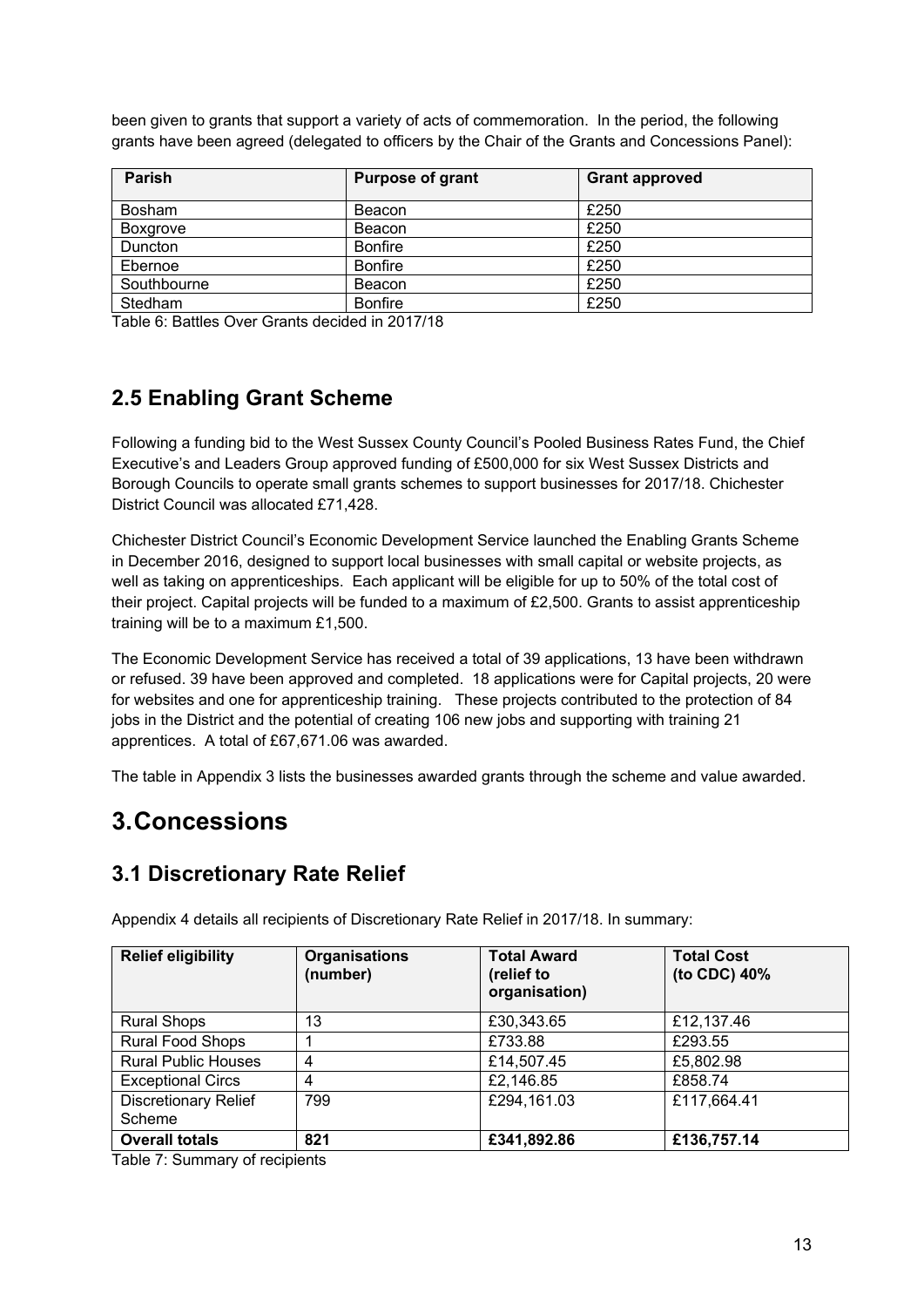been given to grants that support a variety of acts of commemoration. In the period, the following grants have been agreed (delegated to officers by the Chair of the Grants and Concessions Panel):

| <b>Parish</b>   | <b>Purpose of grant</b> | <b>Grant approved</b> |
|-----------------|-------------------------|-----------------------|
| <b>Bosham</b>   | Beacon                  | £250                  |
| <b>Boxgrove</b> | Beacon                  | £250                  |
| Duncton         | <b>Bonfire</b>          | £250                  |
| Ebernoe         | <b>Bonfire</b>          | £250                  |
| Southbourne     | Beacon                  | £250                  |
| <b>Stedham</b>  | <b>Bonfire</b>          | £250                  |

Table 6: Battles Over Grants decided in 2017/18

### **2.5 Enabling Grant Scheme**

Following a funding bid to the West Sussex County Council's Pooled Business Rates Fund, the Chief Executive's and Leaders Group approved funding of £500,000 for six West Sussex Districts and Borough Councils to operate small grants schemes to support businesses for 2017/18. Chichester District Council was allocated £71,428.

Chichester District Council's Economic Development Service launched the Enabling Grants Scheme in December 2016, designed to support local businesses with small capital or website projects, as well as taking on apprenticeships. Each applicant will be eligible for up to 50% of the total cost of their project. Capital projects will be funded to a maximum of £2,500. Grants to assist apprenticeship training will be to a maximum £1,500.

The Economic Development Service has received a total of 39 applications, 13 have been withdrawn or refused. 39 have been approved and completed. 18 applications were for Capital projects, 20 were for websites and one for apprenticeship training. These projects contributed to the protection of 84 jobs in the District and the potential of creating 106 new jobs and supporting with training 21 apprentices. A total of £67,671.06 was awarded.

The table in Appendix 3 lists the businesses awarded grants through the scheme and value awarded.

# **3.Concessions**

### **3.1 Discretionary Rate Relief**

| <b>Relief eligibility</b>             | <b>Organisations</b><br>(number) | <b>Total Award</b><br>(relief to<br>organisation) | <b>Total Cost</b><br>(to CDC) 40% |
|---------------------------------------|----------------------------------|---------------------------------------------------|-----------------------------------|
| <b>Rural Shops</b>                    | 13                               | £30,343.65                                        | £12,137.46                        |
| <b>Rural Food Shops</b>               |                                  | £733.88                                           | £293.55                           |
| <b>Rural Public Houses</b>            | 4                                | £14,507.45                                        | £5,802.98                         |
| <b>Exceptional Circs</b>              | 4                                | £2,146.85                                         | £858.74                           |
| <b>Discretionary Relief</b><br>Scheme | 799                              | £294,161.03                                       | £117,664.41                       |
| <b>Overall totals</b>                 | 821                              | £341,892.86                                       | £136,757.14                       |

Appendix 4 details all recipients of Discretionary Rate Relief in 2017/18. In summary:

Table 7: Summary of recipients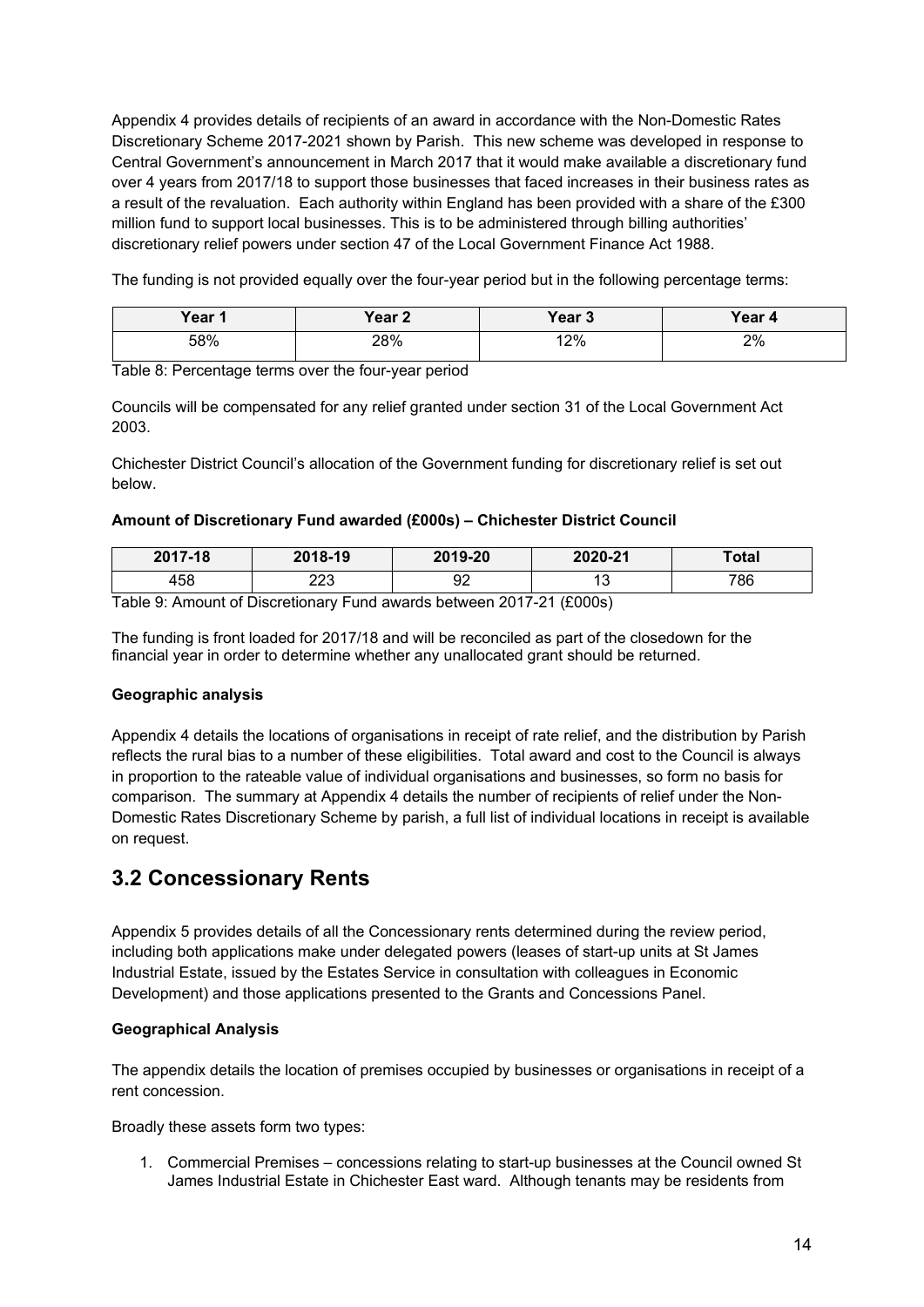Appendix 4 provides details of recipients of an award in accordance with the Non-Domestic Rates Discretionary Scheme 2017-2021 shown by Parish. This new scheme was developed in response to Central Government's announcement in March 2017 that it would make available a discretionary fund over 4 years from 2017/18 to support those businesses that faced increases in their business rates as a result of the revaluation. Each authority within England has been provided with a share of the £300 million fund to support local businesses. This is to be administered through billing authorities' discretionary relief powers under section 47 of the Local Government Finance Act 1988.

The funding is not provided equally over the four-year period but in the following percentage terms:

| Year 1 | Year <sub>2</sub> | Year 3 | Year 4 |
|--------|-------------------|--------|--------|
| 58%    | 28%               | 12%    | 2%     |

Table 8: Percentage terms over the four-year period

Councils will be compensated for any relief granted under section 31 of the Local Government Act 2003.

Chichester District Council's allocation of the Government funding for discretionary relief is set out below.

#### **Amount of Discretionary Fund awarded (£000s) – Chichester District Council**

| 2017-18 | 2018-19    | 2019-20 | 2020-21 | Total |
|---------|------------|---------|---------|-------|
| 458     | מרח<br>د∠ے | nr<br>ັ | U       | 786   |

Table 9: Amount of Discretionary Fund awards between 2017-21 (£000s)

The funding is front loaded for 2017/18 and will be reconciled as part of the closedown for the financial year in order to determine whether any unallocated grant should be returned.

#### **Geographic analysis**

Appendix 4 details the locations of organisations in receipt of rate relief, and the distribution by Parish reflects the rural bias to a number of these eligibilities. Total award and cost to the Council is always in proportion to the rateable value of individual organisations and businesses, so form no basis for comparison. The summary at Appendix 4 details the number of recipients of relief under the Non-Domestic Rates Discretionary Scheme by parish, a full list of individual locations in receipt is available on request.

### **3.2 Concessionary Rents**

Appendix 5 provides details of all the Concessionary rents determined during the review period, including both applications make under delegated powers (leases of start-up units at St James Industrial Estate, issued by the Estates Service in consultation with colleagues in Economic Development) and those applications presented to the Grants and Concessions Panel.

#### **Geographical Analysis**

The appendix details the location of premises occupied by businesses or organisations in receipt of a rent concession.

Broadly these assets form two types:

1. Commercial Premises – concessions relating to start-up businesses at the Council owned St James Industrial Estate in Chichester East ward. Although tenants may be residents from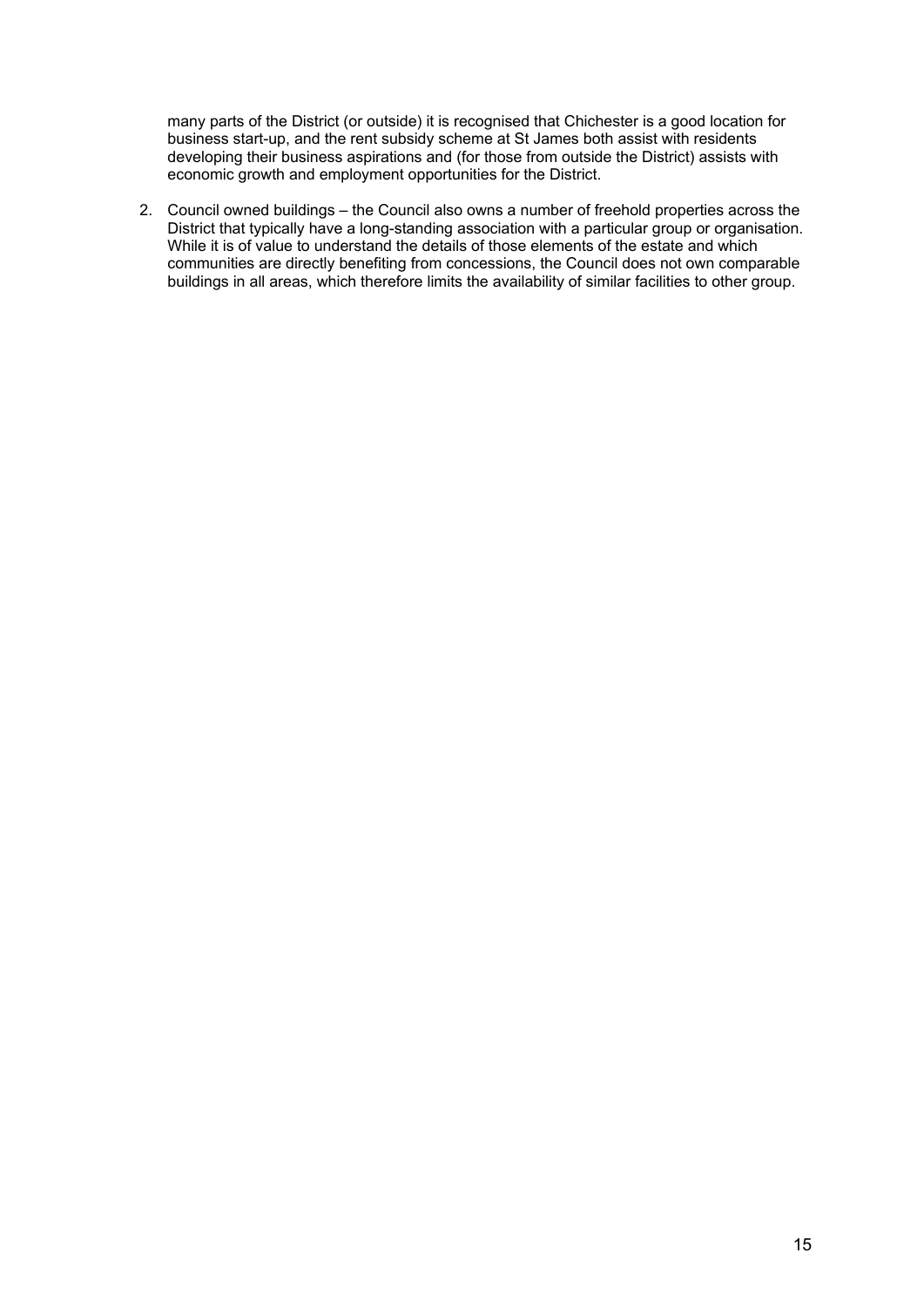many parts of the District (or outside) it is recognised that Chichester is a good location for business start-up, and the rent subsidy scheme at St James both assist with residents developing their business aspirations and (for those from outside the District) assists with economic growth and employment opportunities for the District.

2. Council owned buildings – the Council also owns a number of freehold properties across the District that typically have a long-standing association with a particular group or organisation. While it is of value to understand the details of those elements of the estate and which communities are directly benefiting from concessions, the Council does not own comparable buildings in all areas, which therefore limits the availability of similar facilities to other group.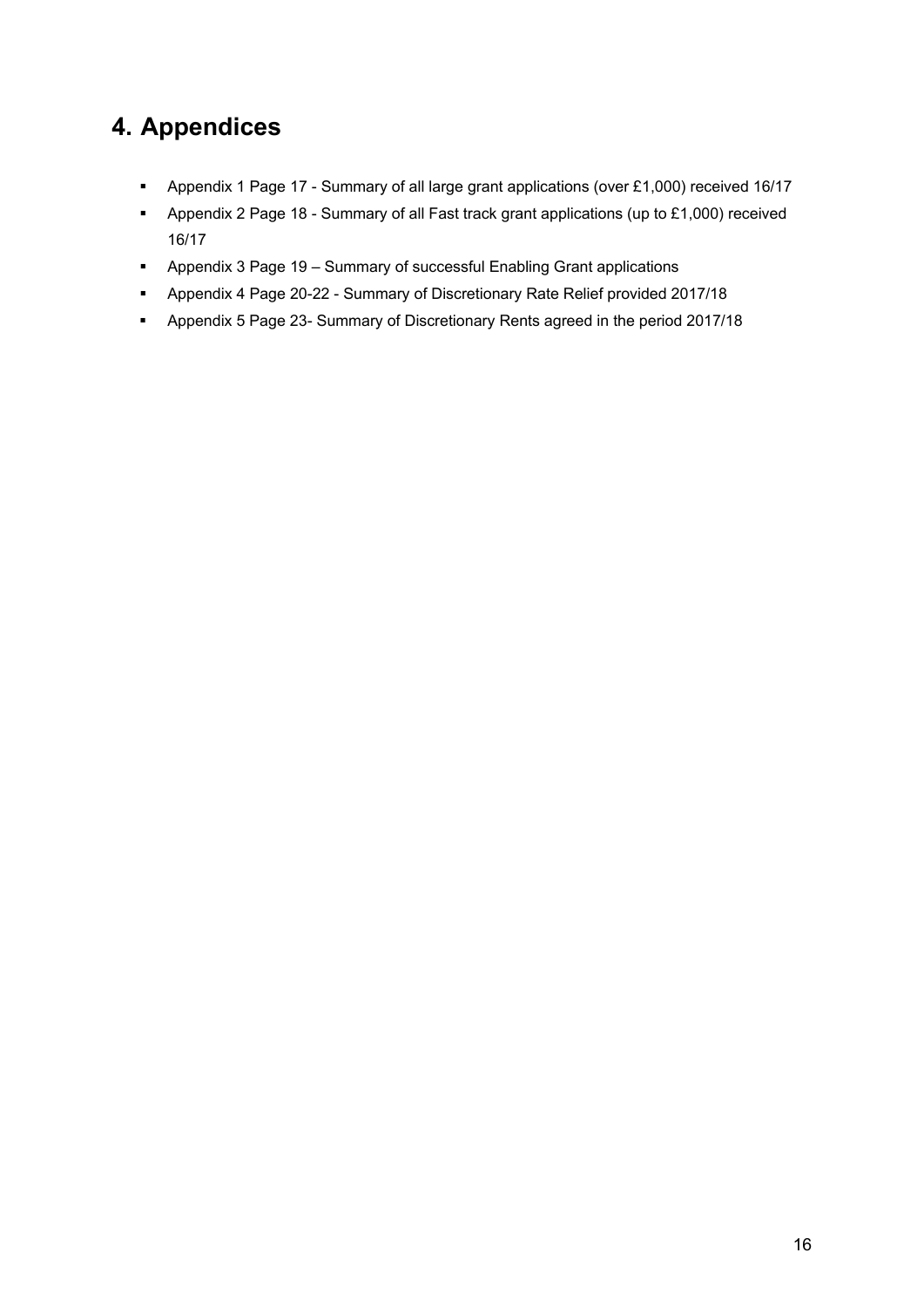# **4. Appendices**

- Appendix 1 Page 17 Summary of all large grant applications (over £1,000) received 16/17
- Appendix 2 Page 18 Summary of all Fast track grant applications (up to £1,000) received 16/17
- Appendix 3 Page 19 Summary of successful Enabling Grant applications
- Appendix 4 Page 20-22 Summary of Discretionary Rate Relief provided 2017/18
- Appendix 5 Page 23- Summary of Discretionary Rents agreed in the period 2017/18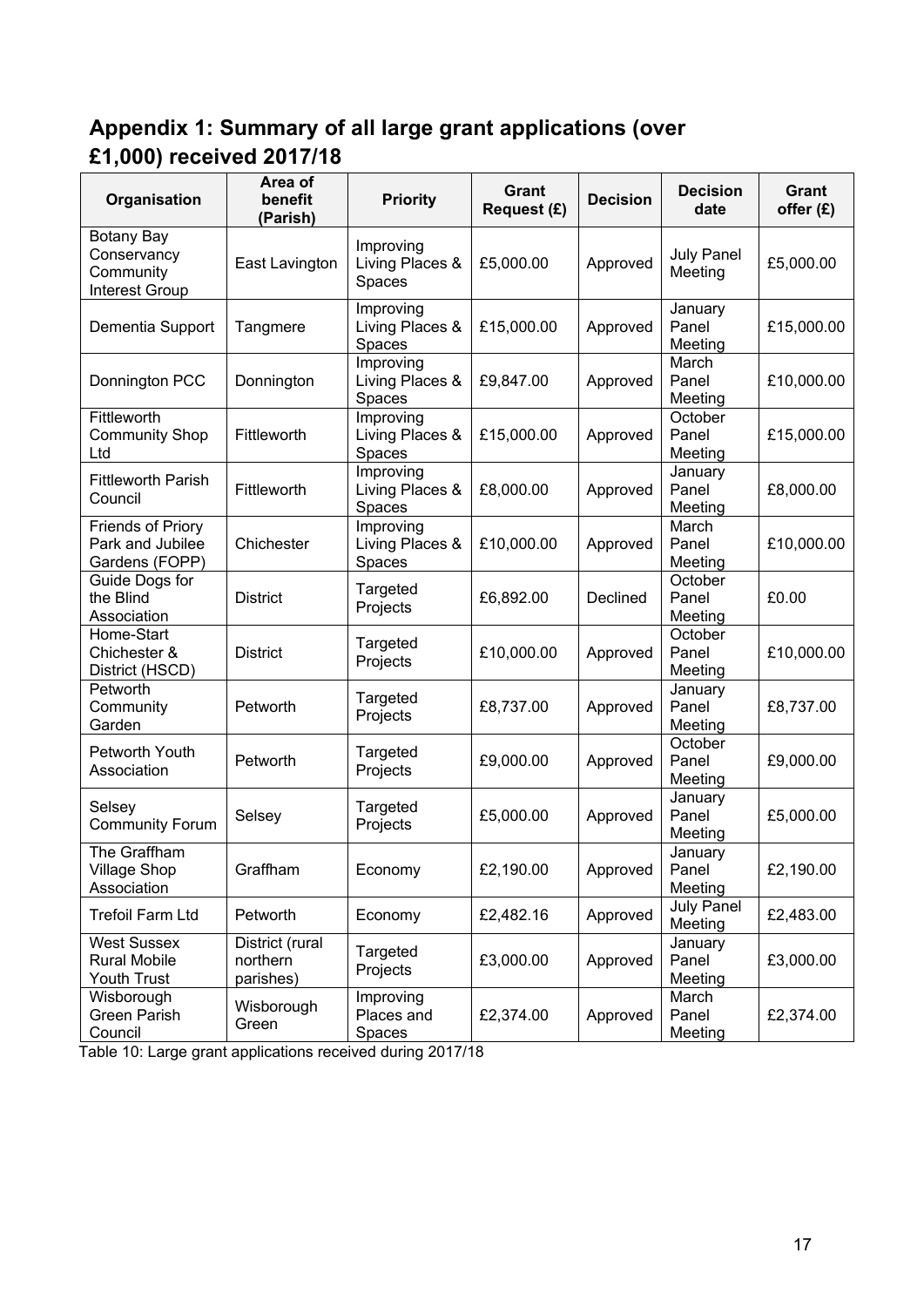# **Appendix 1: Summary of all large grant applications (over £1,000) received 2017/18**

| Organisation                                                           | Area of<br>benefit<br>(Parish)           | <b>Priority</b>                        | Grant<br>Request (£) | <b>Decision</b> | <b>Decision</b><br>date      | Grant<br>offer (£) |
|------------------------------------------------------------------------|------------------------------------------|----------------------------------------|----------------------|-----------------|------------------------------|--------------------|
| <b>Botany Bay</b><br>Conservancy<br>Community<br><b>Interest Group</b> | East Lavington                           | Improving<br>Living Places &<br>Spaces | £5,000.00            | Approved        | <b>July Panel</b><br>Meeting | £5,000.00          |
| Dementia Support                                                       | Tangmere                                 | Improving<br>Living Places &<br>Spaces | £15,000.00           | Approved        | January<br>Panel<br>Meeting  | £15,000.00         |
| Donnington PCC                                                         | Donnington                               | Improving<br>Living Places &<br>Spaces | £9,847.00            | Approved        | March<br>Panel<br>Meeting    | £10,000.00         |
| Fittleworth<br><b>Community Shop</b><br>Ltd                            | Fittleworth                              | Improving<br>Living Places &<br>Spaces | £15,000.00           | Approved        | October<br>Panel<br>Meeting  | £15,000.00         |
| <b>Fittleworth Parish</b><br>Council                                   | Fittleworth                              | Improving<br>Living Places &<br>Spaces | £8,000.00            | Approved        | January<br>Panel<br>Meeting  | £8,000.00          |
| <b>Friends of Priory</b><br>Park and Jubilee<br>Gardens (FOPP)         | Chichester                               | Improving<br>Living Places &<br>Spaces | £10,000.00           | Approved        | March<br>Panel<br>Meeting    | £10,000.00         |
| Guide Dogs for<br>the Blind<br>Association                             | <b>District</b>                          | Targeted<br>Projects                   | £6,892.00            | Declined        | October<br>Panel<br>Meeting  | £0.00              |
| Home-Start<br>Chichester &<br>District (HSCD)                          | <b>District</b>                          | Targeted<br>Projects                   | £10,000.00           | Approved        | October<br>Panel<br>Meeting  | £10,000.00         |
| Petworth<br>Community<br>Garden                                        | Petworth                                 | Targeted<br>Projects                   | £8,737.00            | Approved        | January<br>Panel<br>Meeting  | £8,737.00          |
| Petworth Youth<br>Association                                          | Petworth                                 | Targeted<br>Projects                   | £9,000.00            | Approved        | October<br>Panel<br>Meeting  | £9,000.00          |
| Selsey<br><b>Community Forum</b>                                       | Selsey                                   | Targeted<br>Projects                   | £5,000.00            | Approved        | January<br>Panel<br>Meeting  | £5,000.00          |
| The Graffham<br><b>Village Shop</b><br>Association                     | Graffham                                 | Economy                                | £2,190.00            | Approved        | January<br>Panel<br>Meeting  | £2,190.00          |
| <b>Trefoil Farm Ltd</b>                                                | Petworth                                 | Economy                                | £2,482.16            | Approved        | <b>July Panel</b><br>Meeting | £2,483.00          |
| <b>West Sussex</b><br><b>Rural Mobile</b><br>Youth Trust               | District (rural<br>northern<br>parishes) | Targeted<br>Projects                   | £3,000.00            | Approved        | January<br>Panel<br>Meeting  | £3,000.00          |
| Wisborough<br><b>Green Parish</b><br>Council                           | Wisborough<br>Green                      | Improving<br>Places and<br>Spaces      | £2,374.00            | Approved        | March<br>Panel<br>Meeting    | £2,374.00          |

Table 10: Large grant applications received during 2017/18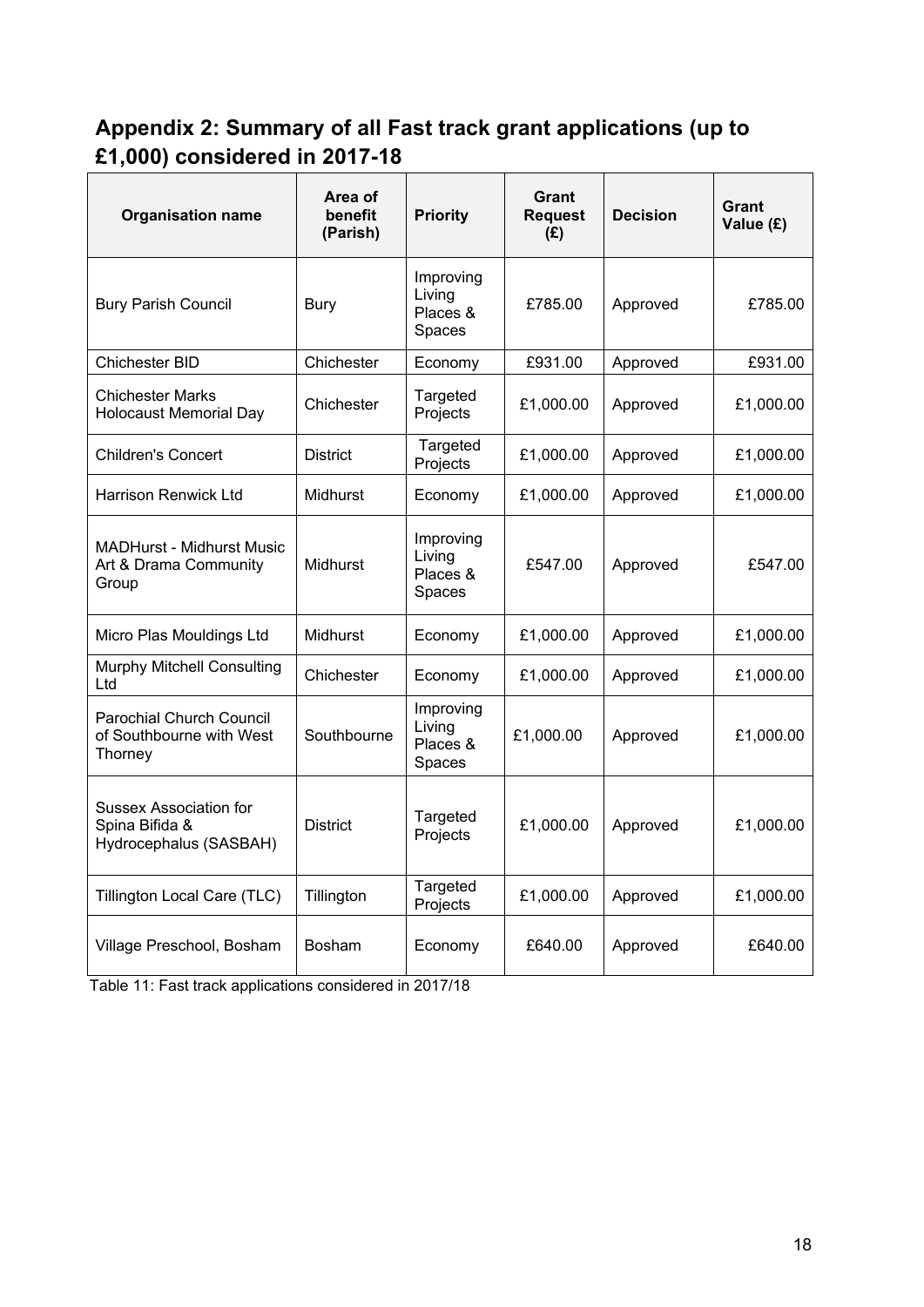# **Appendix 2: Summary of all Fast track grant applications (up to £1,000) considered in 2017-18**

| <b>Organisation name</b>                                                  | Area of<br>benefit<br>(Parish) | <b>Priority</b>                           | Grant<br><b>Request</b><br>(E) | <b>Decision</b> | Grant<br>Value (£) |
|---------------------------------------------------------------------------|--------------------------------|-------------------------------------------|--------------------------------|-----------------|--------------------|
| <b>Bury Parish Council</b>                                                | <b>Bury</b>                    | Improving<br>Living<br>Places &<br>Spaces | £785.00                        | Approved        | £785.00            |
| Chichester BID                                                            | Chichester                     | Economy                                   | £931.00                        | Approved        | £931.00            |
| <b>Chichester Marks</b><br><b>Holocaust Memorial Day</b>                  | Chichester                     | Targeted<br>Projects                      | £1,000.00                      | Approved        | £1,000.00          |
| <b>Children's Concert</b>                                                 | <b>District</b>                | Targeted<br>Projects                      | £1,000.00                      | Approved        | £1,000.00          |
| <b>Harrison Renwick Ltd</b>                                               | Midhurst                       | Economy                                   | £1,000.00                      | Approved        | £1,000.00          |
| <b>MADHurst - Midhurst Music</b><br>Art & Drama Community<br>Group        | <b>Midhurst</b>                | Improving<br>Livina<br>Places &<br>Spaces | £547.00                        | Approved        | £547.00            |
| Micro Plas Mouldings Ltd                                                  | Midhurst                       | Economy                                   | £1,000.00                      | Approved        | £1,000.00          |
| <b>Murphy Mitchell Consulting</b><br>Ltd                                  | Chichester                     | Economy                                   | £1,000.00                      | Approved        | £1,000.00          |
| <b>Parochial Church Council</b><br>of Southbourne with West<br>Thorney    | Southbourne                    | Improving<br>Living<br>Places &<br>Spaces | £1,000.00                      | Approved        | £1,000.00          |
| <b>Sussex Association for</b><br>Spina Bifida &<br>Hydrocephalus (SASBAH) | <b>District</b>                | Targeted<br>Projects                      | £1,000.00                      | Approved        | £1,000.00          |
| Tillington Local Care (TLC)                                               | Tillington                     | Targeted<br>Projects                      | £1,000.00                      | Approved        | £1,000.00          |
| Village Preschool, Bosham                                                 | <b>Bosham</b>                  | Economy                                   | £640.00                        | Approved        | £640.00            |

Table 11: Fast track applications considered in 2017/18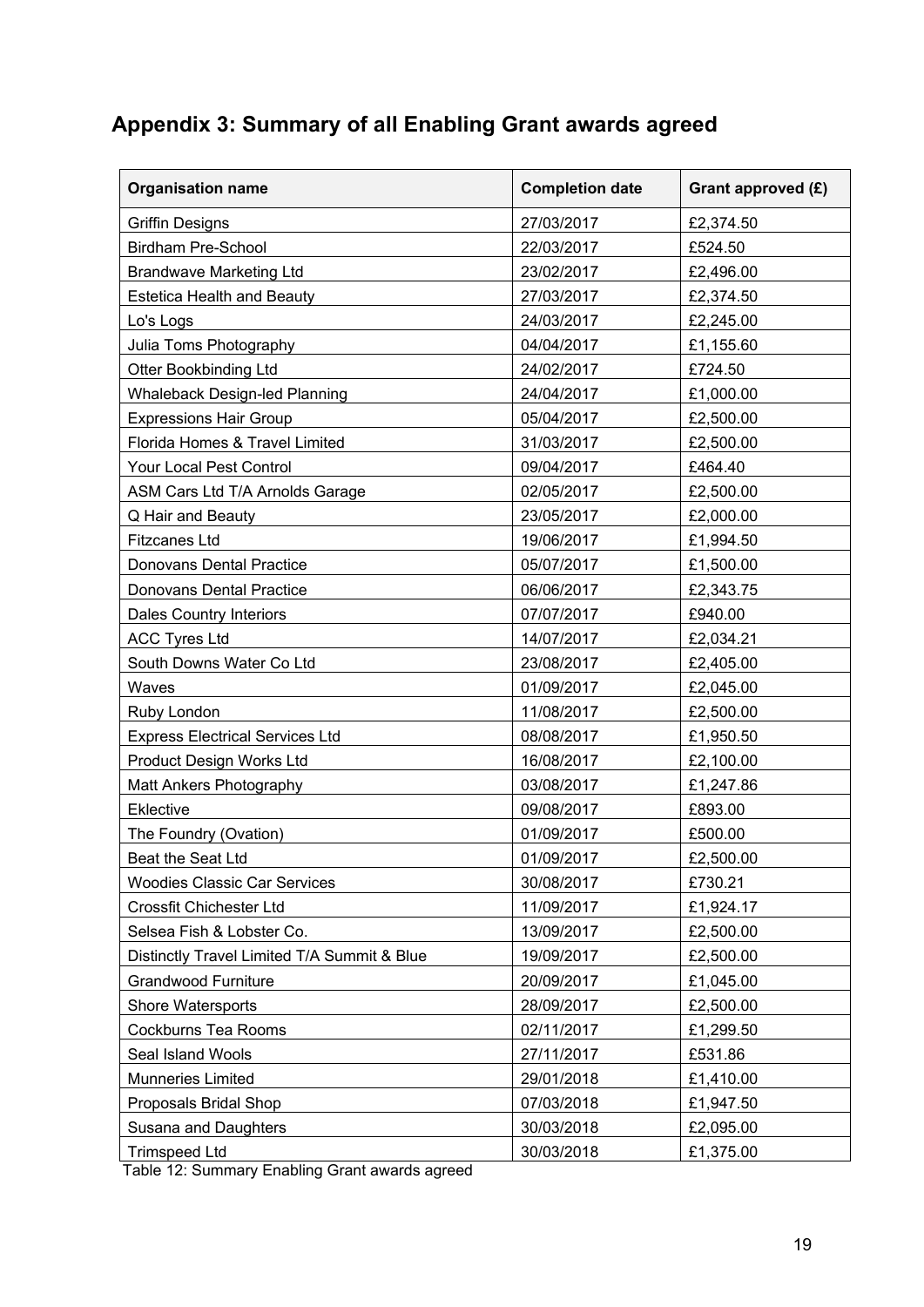# **Appendix 3: Summary of all Enabling Grant awards agreed**

| <b>Organisation name</b>                    | <b>Completion date</b> | Grant approved (£) |
|---------------------------------------------|------------------------|--------------------|
| <b>Griffin Designs</b>                      | 27/03/2017             | £2,374.50          |
| <b>Birdham Pre-School</b>                   | 22/03/2017             | £524.50            |
| <b>Brandwave Marketing Ltd</b>              | 23/02/2017             | £2,496.00          |
| <b>Estetica Health and Beauty</b>           | 27/03/2017             | £2,374.50          |
| Lo's Logs                                   | 24/03/2017             | £2,245.00          |
| Julia Toms Photography                      | 04/04/2017             | £1,155.60          |
| <b>Otter Bookbinding Ltd</b>                | 24/02/2017             | £724.50            |
| <b>Whaleback Design-led Planning</b>        | 24/04/2017             | £1,000.00          |
| <b>Expressions Hair Group</b>               | 05/04/2017             | £2,500.00          |
| Florida Homes & Travel Limited              | 31/03/2017             | £2,500.00          |
| Your Local Pest Control                     | 09/04/2017             | £464.40            |
| ASM Cars Ltd T/A Arnolds Garage             | 02/05/2017             | £2,500.00          |
| Q Hair and Beauty                           | 23/05/2017             | £2,000.00          |
| <b>Fitzcanes Ltd</b>                        | 19/06/2017             | £1,994.50          |
| <b>Donovans Dental Practice</b>             | 05/07/2017             | £1,500.00          |
| <b>Donovans Dental Practice</b>             | 06/06/2017             | £2,343.75          |
| <b>Dales Country Interiors</b>              | 07/07/2017             | £940.00            |
| <b>ACC Tyres Ltd</b>                        | 14/07/2017             | £2,034.21          |
| South Downs Water Co Ltd                    | 23/08/2017             | £2,405.00          |
| Waves                                       | 01/09/2017             | £2,045.00          |
| Ruby London                                 | 11/08/2017             | £2,500.00          |
| <b>Express Electrical Services Ltd</b>      | 08/08/2017             | £1,950.50          |
| Product Design Works Ltd                    | 16/08/2017             | £2,100.00          |
| Matt Ankers Photography                     | 03/08/2017             | £1,247.86          |
| Eklective                                   | 09/08/2017             | £893.00            |
| The Foundry (Ovation)                       | 01/09/2017             | £500.00            |
| Beat the Seat Ltd                           | 01/09/2017             | £2,500.00          |
| <b>Woodies Classic Car Services</b>         | 30/08/2017             | £730.21            |
| Crossfit Chichester Ltd                     | 11/09/2017             | £1,924.17          |
| Selsea Fish & Lobster Co.                   | 13/09/2017             | £2,500.00          |
| Distinctly Travel Limited T/A Summit & Blue | 19/09/2017             | £2,500.00          |
| <b>Grandwood Furniture</b>                  | 20/09/2017             | £1,045.00          |
| Shore Watersports                           | 28/09/2017             | £2,500.00          |
| <b>Cockburns Tea Rooms</b>                  | 02/11/2017             | £1,299.50          |
| Seal Island Wools                           | 27/11/2017             | £531.86            |
| Munneries Limited                           | 29/01/2018             | £1,410.00          |
| Proposals Bridal Shop                       | 07/03/2018             | £1,947.50          |
| Susana and Daughters                        | 30/03/2018             | £2,095.00          |
| <b>Trimspeed Ltd</b>                        | 30/03/2018             | £1,375.00          |

Table 12: Summary Enabling Grant awards agreed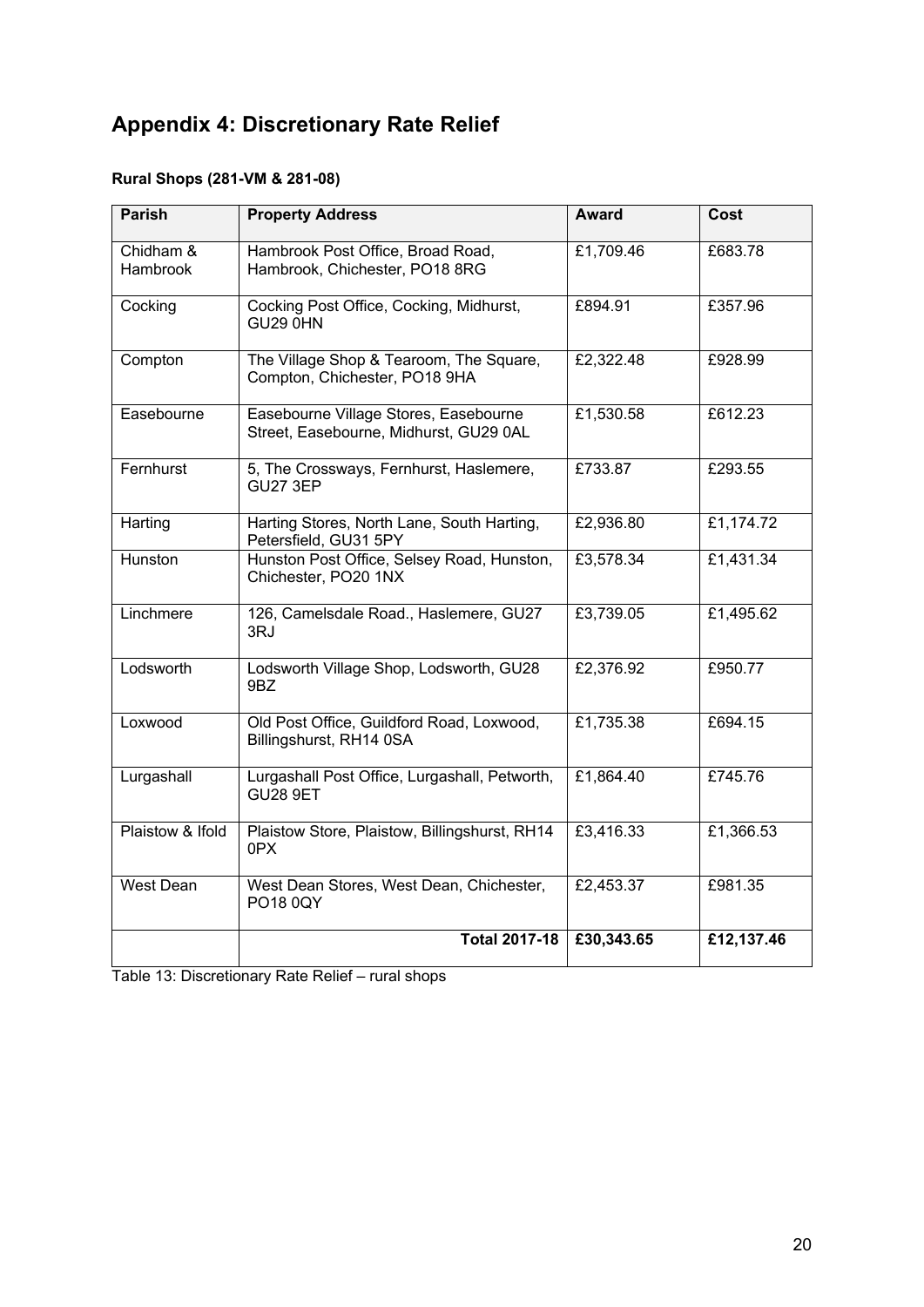# **Appendix 4: Discretionary Rate Relief**

### **Rural Shops (281-VM & 281-08)**

| <b>Parish</b>                | <b>Property Address</b>                                                         | <b>Award</b> | Cost       |
|------------------------------|---------------------------------------------------------------------------------|--------------|------------|
| Chidham &<br><b>Hambrook</b> | Hambrook Post Office, Broad Road,<br>Hambrook, Chichester, PO18 8RG             | £1,709.46    | £683.78    |
| Cocking                      | Cocking Post Office, Cocking, Midhurst,<br><b>GU29 0HN</b>                      | £894.91      | £357.96    |
| Compton                      | The Village Shop & Tearoom, The Square,<br>Compton, Chichester, PO18 9HA        | £2,322.48    | £928.99    |
| Easebourne                   | Easebourne Village Stores, Easebourne<br>Street, Easebourne, Midhurst, GU29 0AL | £1,530.58    | £612.23    |
| Fernhurst                    | 5, The Crossways, Fernhurst, Haslemere,<br><b>GU27 3EP</b>                      | £733.87      | £293.55    |
| Harting                      | Harting Stores, North Lane, South Harting,<br>Petersfield, GU31 5PY             | £2,936.80    | £1,174.72  |
| Hunston                      | Hunston Post Office, Selsey Road, Hunston,<br>Chichester, PO20 1NX              | £3,578.34    | £1,431.34  |
| Linchmere                    | 126, Camelsdale Road., Haslemere, GU27<br>3RJ                                   | £3,739.05    | £1,495.62  |
| Lodsworth                    | Lodsworth Village Shop, Lodsworth, GU28<br>9BZ                                  | £2,376.92    | £950.77    |
| Loxwood                      | Old Post Office, Guildford Road, Loxwood,<br>Billingshurst, RH14 0SA            | £1,735.38    | £694.15    |
| Lurgashall                   | Lurgashall Post Office, Lurgashall, Petworth,<br><b>GU28 9ET</b>                | £1,864.40    | £745.76    |
| Plaistow & Ifold             | Plaistow Store, Plaistow, Billingshurst, RH14<br>0PX                            | £3,416.33    | £1,366.53  |
| West Dean                    | West Dean Stores, West Dean, Chichester,<br>PO18 0QY                            | £2,453.37    | £981.35    |
|                              | <b>Total 2017-18</b>                                                            | £30,343.65   | £12,137.46 |

Table 13: Discretionary Rate Relief – rural shops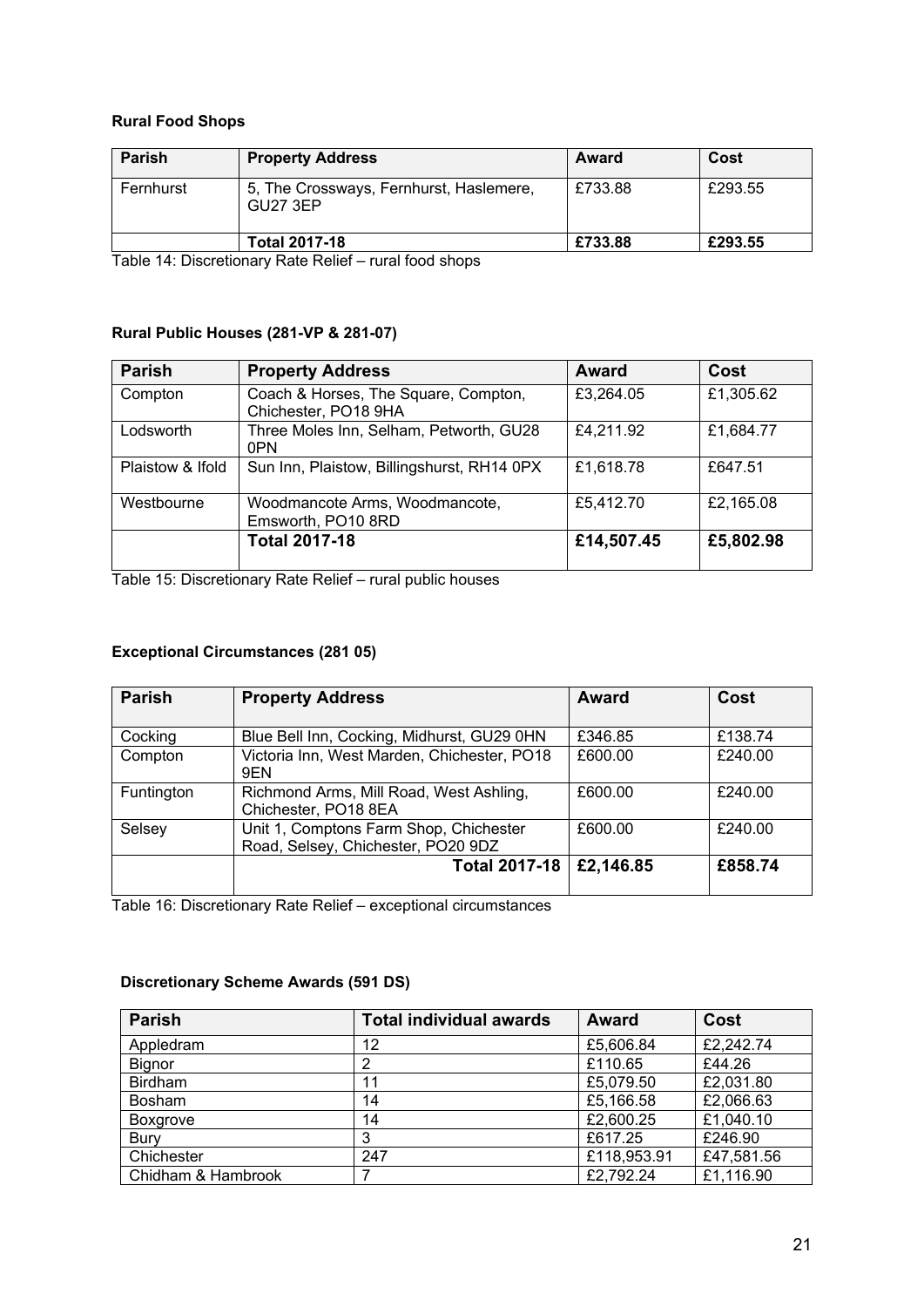#### **Rural Food Shops**

| <b>Parish</b> | <b>Property Address</b>                             | Award   | Cost    |
|---------------|-----------------------------------------------------|---------|---------|
| Fernhurst     | 5, The Crossways, Fernhurst, Haslemere,<br>GU27 3EP | £733.88 | £293.55 |
|               | <b>Total 2017-18</b>                                | £733.88 | £293.55 |

Table 14: Discretionary Rate Relief – rural food shops

#### **Rural Public Houses (281-VP & 281-07)**

| <b>Parish</b>    | <b>Property Address</b>                                      | Award      | Cost      |
|------------------|--------------------------------------------------------------|------------|-----------|
| Compton          | Coach & Horses, The Square, Compton,<br>Chichester, PO18 9HA | £3,264.05  | £1,305.62 |
| Lodsworth        | Three Moles Inn, Selham, Petworth, GU28<br>0PN               | £4,211.92  | £1,684.77 |
| Plaistow & Ifold | Sun Inn, Plaistow, Billingshurst, RH14 0PX                   | £1,618.78  | £647.51   |
| Westbourne       | Woodmancote Arms, Woodmancote,<br>Emsworth, PO10 8RD         | £5,412.70  | £2,165.08 |
|                  | <b>Total 2017-18</b>                                         | £14,507.45 | £5,802.98 |

Table 15: Discretionary Rate Relief – rural public houses

#### **Exceptional Circumstances (281 05)**

| <b>Parish</b> | <b>Property Address</b>                                                      | Award     | Cost    |
|---------------|------------------------------------------------------------------------------|-----------|---------|
| Cocking       | Blue Bell Inn, Cocking, Midhurst, GU29 0HN                                   | £346.85   | £138.74 |
| Compton       | Victoria Inn, West Marden, Chichester, PO18<br>9EN                           | £600.00   | £240.00 |
| Funtington    | Richmond Arms, Mill Road, West Ashling,<br>Chichester, PO18 8EA              | £600.00   | £240.00 |
| Selsey        | Unit 1, Comptons Farm Shop, Chichester<br>Road, Selsey, Chichester, PO20 9DZ | £600.00   | £240.00 |
|               | <b>Total 2017-18</b>                                                         | £2,146.85 | £858.74 |

Table 16: Discretionary Rate Relief – exceptional circumstances

#### **Discretionary Scheme Awards (591 DS)**

| <b>Parish</b>      | <b>Total individual awards</b> | Award       | Cost       |
|--------------------|--------------------------------|-------------|------------|
| Appledram          | 12                             | £5,606.84   | £2,242.74  |
| <b>Bignor</b>      | 2                              | £110.65     | £44.26     |
| <b>Birdham</b>     | 11                             | £5,079.50   | £2,031.80  |
| <b>Bosham</b>      | 14                             | £5,166.58   | £2,066.63  |
| <b>Boxgrove</b>    | 14                             | £2,600.25   | £1,040.10  |
| Bury               | 3                              | £617.25     | £246.90    |
| Chichester         | 247                            | £118,953.91 | £47,581.56 |
| Chidham & Hambrook |                                | £2,792.24   | £1,116.90  |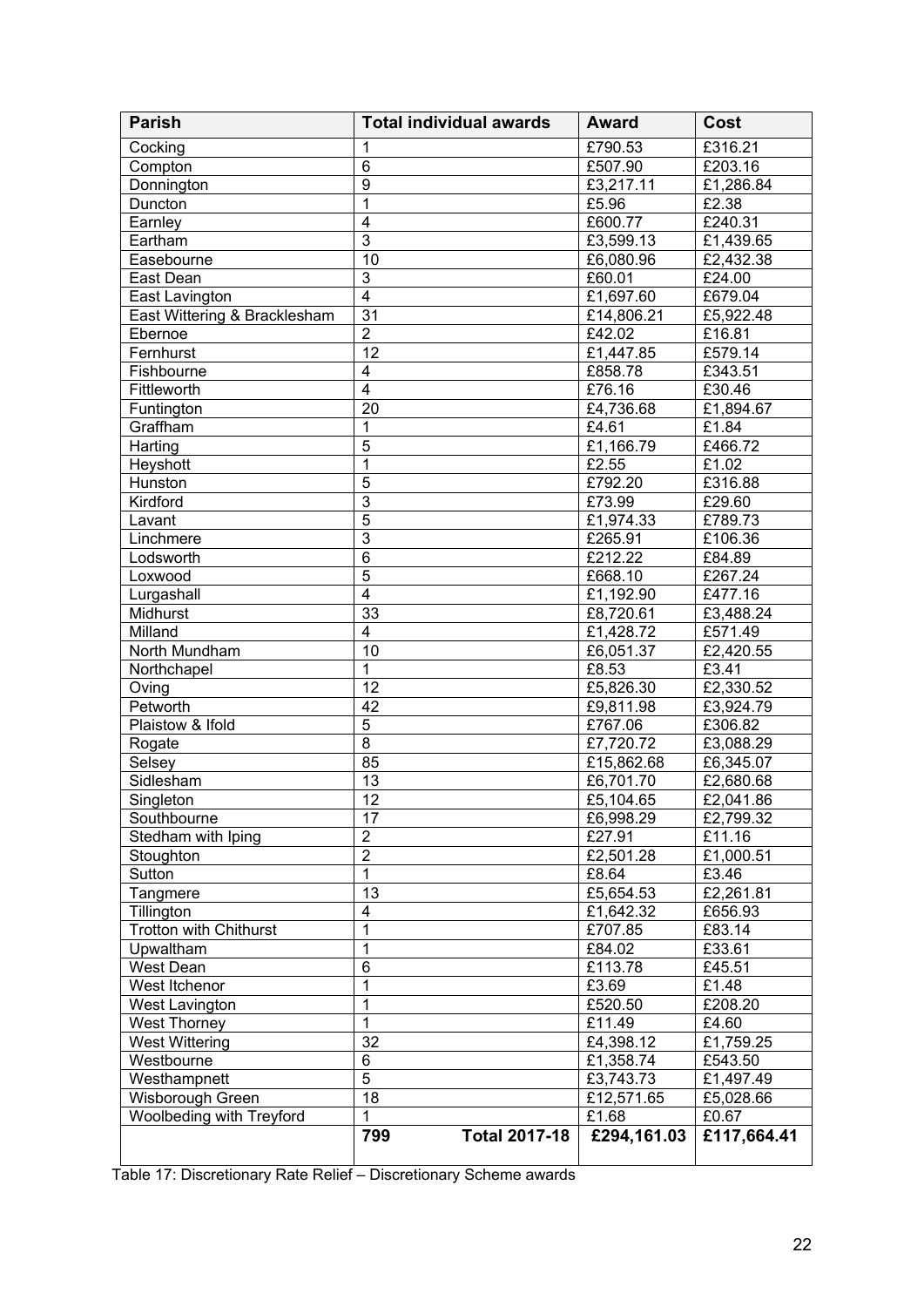| <b>Parish</b>                | <b>Total individual awards</b> |                      | <b>Award</b>        | Cost        |
|------------------------------|--------------------------------|----------------------|---------------------|-------------|
| Cocking                      | 1                              |                      | £790.53             | £316.21     |
| Compton                      | $6\phantom{1}$                 |                      | £507.90             | £203.16     |
| Donnington                   | 9                              |                      | E3,217.11           | £1,286.84   |
| Duncton                      | $\mathbf{1}$                   |                      | £5.96               | £2.38       |
| Earnley                      | $\overline{4}$                 |                      | £600.77             | £240.31     |
| Eartham                      | $\overline{3}$                 |                      | £3,599.13           | £1,439.65   |
| Easebourne                   | 10                             |                      | £6,080.96           | £2,432.38   |
| East Dean                    | $\overline{3}$                 |                      | £60.01              | £24.00      |
| East Lavington               | $\overline{4}$                 |                      | £1,697.60           | £679.04     |
| East Wittering & Bracklesham | 31                             |                      | £14,806.21          | £5,922.48   |
| Ebernoe                      | $\overline{2}$                 |                      | £42.02              | £16.81      |
| Fernhurst                    | 12                             |                      | £1,447.85           | £579.14     |
| Fishbourne                   | $\overline{4}$                 |                      | £858.78             | £343.51     |
| Fittleworth                  | $\overline{4}$                 |                      | £76.16              | £30.46      |
| Funtington                   | 20                             |                      | £4,736.68           | £1,894.67   |
| Graffham                     | $\mathbf{1}$                   |                      | £4.61               | £1.84       |
| Harting                      | 5                              |                      | £1,166.79           | £466.72     |
| Heyshott                     | $\mathbf{1}$                   |                      | £2.55               | £1.02       |
| Hunston                      | 5                              |                      | £792.20             | £316.88     |
| Kirdford                     | $\overline{3}$                 |                      | £73.99              | £29.60      |
| Lavant                       | $\overline{5}$                 |                      | £1,974.33           | £789.73     |
| Linchmere                    | $\overline{3}$                 |                      | £265.91             | £106.36     |
| Lodsworth                    | $6\phantom{1}$                 |                      | £212.22             | £84.89      |
| Loxwood                      | 5                              |                      | £668.10             | £267.24     |
| Lurgashall                   | $\overline{4}$                 |                      | £1,192.90           | £477.16     |
| Midhurst                     | 33                             |                      | £8,720.61           | £3,488.24   |
| Milland                      | $\overline{4}$                 |                      | £1,428.72           | £571.49     |
| North Mundham                | 10                             |                      | £6,051.37           | £2,420.55   |
| Northchapel                  | $\mathbf{1}$                   |                      | £8.53               | £3.41       |
| Oving                        | 12                             |                      | £5,826.30           | £2,330.52   |
| Petworth                     | 42                             |                      | £9,811.98           | £3,924.79   |
| Plaistow & Ifold             | 5                              |                      | £767.06             | £306.82     |
| Rogate                       | 8                              |                      | £7,720.72           | £3,088.29   |
| Selsey                       | 85                             |                      | £15,862.68          | £6,345.07   |
| Sidlesham                    | 13                             |                      | £6,701.70           | £2,680.68   |
| Singleton                    | 12                             |                      | £5,104.65           | £2,041.86   |
| Southbourne                  | 17                             |                      | £6,998.29           | £2,799.32   |
| Stedham with Iping           | $\overline{2}$                 |                      | £27.91              | £11.16      |
| Stoughton                    | $\overline{2}$                 |                      | £2,501.28           | £1,000.51   |
| Sutton                       | $\mathbf{1}$                   |                      | £8.64               | £3.46       |
| Tangmere                     | 13                             |                      | £5,654.53           | £2,261.81   |
| Tillington                   | $\overline{\mathbf{4}}$        |                      | £1,642.32           | £656.93     |
| Trotton with Chithurst       | $\mathbf{1}$                   |                      | £707.85             | £83.14      |
| Upwaltham                    | $\mathbf{1}$                   |                      | £84.02              | £33.61      |
| West Dean                    | $\,6$                          |                      | £113.78             | £45.51      |
| West Itchenor                | $\mathbf{1}$                   |                      | £3.69               | £1.48       |
| West Lavington               | 1                              |                      | £520.50             | £208.20     |
| <b>West Thorney</b>          | $\mathbf{1}$                   |                      | £11.49              | £4.60       |
| <b>West Wittering</b>        | 32                             |                      | £4,398.12           | £1,759.25   |
| Westbourne                   | 6<br>5                         |                      | £1,358.74           | £543.50     |
| Westhampnett                 | 18                             |                      | £3,743.73           | £1,497.49   |
| Wisborough Green             | $\mathbf{1}$                   |                      | £12,571.65<br>£1.68 | £5,028.66   |
| Woolbeding with Treyford     |                                |                      |                     | £0.67       |
|                              | 799                            | <b>Total 2017-18</b> | £294,161.03         | £117,664.41 |

Table 17: Discretionary Rate Relief – Discretionary Scheme awards